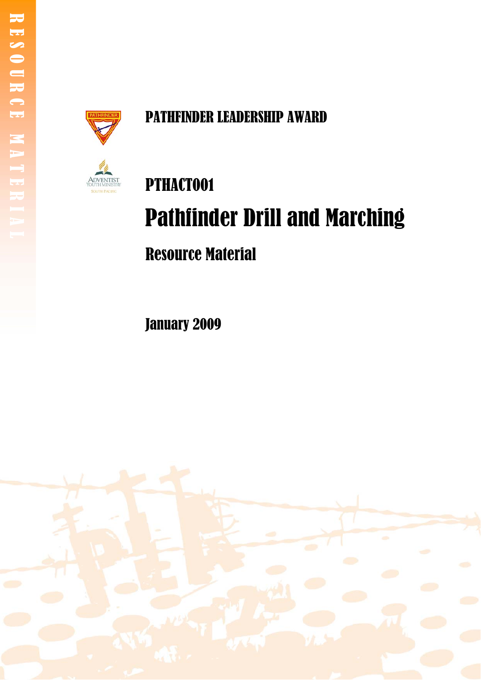

# PATHFINDER LEADERSHIP AWARD



# PTHACT001 Pathfinder Drill and Marching Resource Material

January 2009

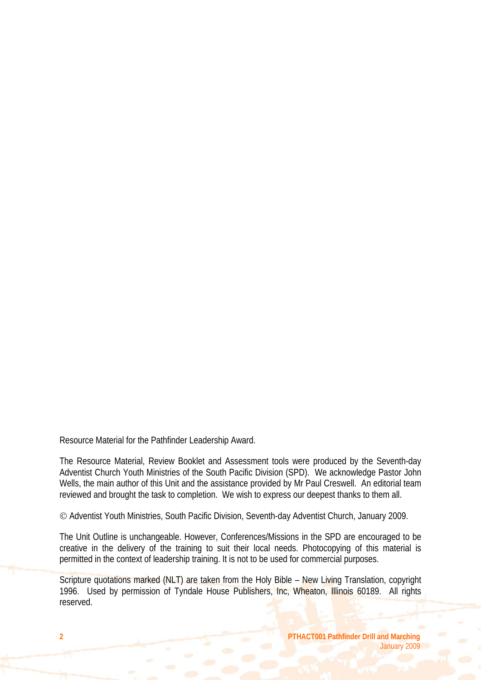Resource Material for the Pathfinder Leadership Award.

The Resource Material, Review Booklet and Assessment tools were produced by the Seventh-day Adventist Church Youth Ministries of the South Pacific Division (SPD). We acknowledge Pastor John Wells, the main author of this Unit and the assistance provided by Mr Paul Creswell. An editorial team reviewed and brought the task to completion. We wish to express our deepest thanks to them all.

© Adventist Youth Ministries, South Pacific Division, Seventh-day Adventist Church, January 2009.

The Unit Outline is unchangeable. However, Conferences/Missions in the SPD are encouraged to be creative in the delivery of the training to suit their local needs. Photocopying of this material is permitted in the context of leadership training. It is not to be used for commercial purposes.

Scripture quotations marked (NLT) are taken from the Holy Bible – New Living Translation, copyright 1996. Used by permission of Tyndale House Publishers, Inc, Wheaton, Illinois 60189. All rights reserved.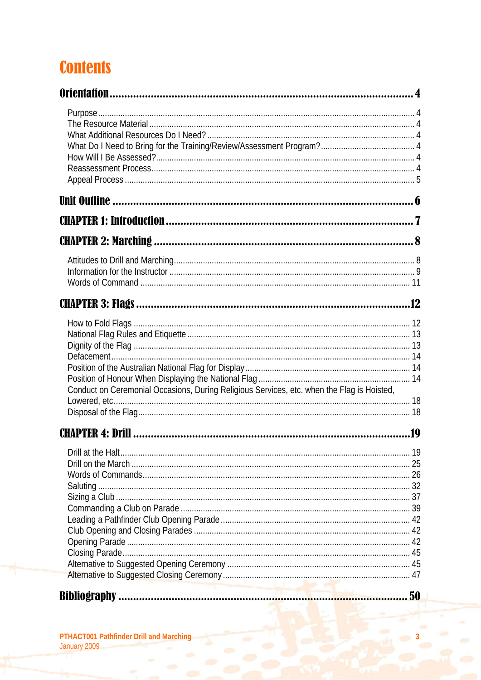# **Contents**

| Conduct on Ceremonial Occasions, During Religious Services, etc. when the Flag is Hoisted, |     |
|--------------------------------------------------------------------------------------------|-----|
|                                                                                            | .19 |
|                                                                                            |     |
|                                                                                            |     |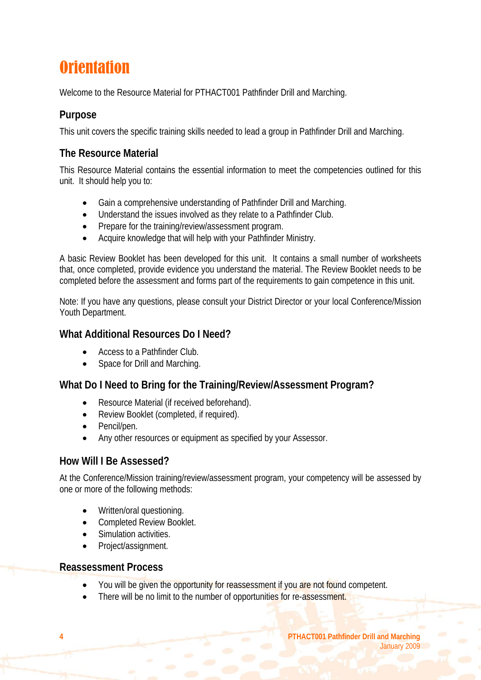# **Orientation**

Welcome to the Resource Material for PTHACT001 Pathfinder Drill and Marching.

# **Purpose**

This unit covers the specific training skills needed to lead a group in Pathfinder Drill and Marching.

# **The Resource Material**

This Resource Material contains the essential information to meet the competencies outlined for this unit. It should help you to:

- Gain a comprehensive understanding of Pathfinder Drill and Marching.
- Understand the issues involved as they relate to a Pathfinder Club.
- Prepare for the training/review/assessment program.
- Acquire knowledge that will help with your Pathfinder Ministry.

A basic Review Booklet has been developed for this unit. It contains a small number of worksheets that, once completed, provide evidence you understand the material. The Review Booklet needs to be completed before the assessment and forms part of the requirements to gain competence in this unit.

Note: If you have any questions, please consult your District Director or your local Conference/Mission Youth Department.

### **What Additional Resources Do I Need?**

- Access to a Pathfinder Club.
- Space for Drill and Marching.

# **What Do I Need to Bring for the Training/Review/Assessment Program?**

- Resource Material (if received beforehand).
- Review Booklet (completed, if required).
- Pencil/pen.
- Any other resources or equipment as specified by your Assessor.

### **How Will I Be Assessed?**

At the Conference/Mission training/review/assessment program, your competency will be assessed by one or more of the following methods:

- Written/oral questioning.
- Completed Review Booklet.
- Simulation activities.
- Project/assignment.

### **Reassessment Process**

- You will be given the opportunity for reassessment if you are not found competent.
- There will be no limit to the number of opportunities for re-assessment.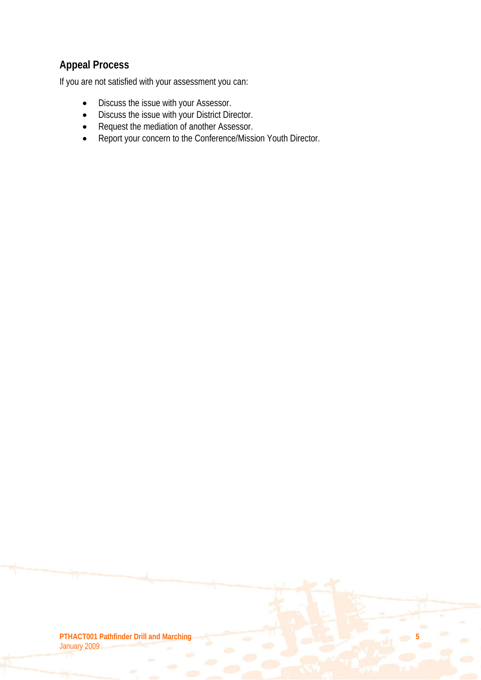# **Appeal Process**

If you are not satisfied with your assessment you can:

- Discuss the issue with your Assessor.
- Discuss the issue with your District Director.
- Request the mediation of another Assessor.
- Report your concern to the Conference/Mission Youth Director.

**PTHACT001 Pathfinder Drill and Marching 5** January 2009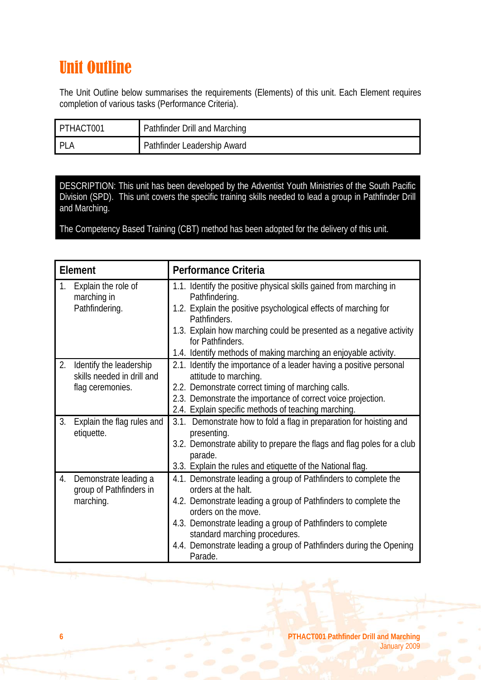# Unit Outline

The Unit Outline below summarises the requirements (Elements) of this unit. Each Element requires completion of various tasks (Performance Criteria).

| PTHACT001 | Pathfinder Drill and Marching |
|-----------|-------------------------------|
| PI        | Pathfinder Leadership Award   |

DESCRIPTION: This unit has been developed by the Adventist Youth Ministries of the South Pacific Division (SPD). This unit covers the specific training skills needed to lead a group in Pathfinder Drill and Marching.

The Competency Based Training (CBT) method has been adopted for the delivery of this unit.

| Element |                                                                           | Performance Criteria                                                                                                                                                                                                                                                                                                                                              |  |
|---------|---------------------------------------------------------------------------|-------------------------------------------------------------------------------------------------------------------------------------------------------------------------------------------------------------------------------------------------------------------------------------------------------------------------------------------------------------------|--|
| 1.      | Explain the role of<br>marching in<br>Pathfindering.                      | 1.1. Identify the positive physical skills gained from marching in<br>Pathfindering.<br>1.2. Explain the positive psychological effects of marching for<br>Pathfinders.<br>1.3. Explain how marching could be presented as a negative activity<br>for Pathfinders.<br>1.4. Identify methods of making marching an enjoyable activity.                             |  |
| 2.      | Identify the leadership<br>skills needed in drill and<br>flag ceremonies. | 2.1. Identify the importance of a leader having a positive personal<br>attitude to marching.<br>2.2. Demonstrate correct timing of marching calls.<br>2.3. Demonstrate the importance of correct voice projection.<br>2.4. Explain specific methods of teaching marching.                                                                                         |  |
| 3.      | Explain the flag rules and<br>etiquette.                                  | 3.1. Demonstrate how to fold a flag in preparation for hoisting and<br>presenting.<br>3.2. Demonstrate ability to prepare the flags and flag poles for a club<br>parade.<br>3.3. Explain the rules and etiquette of the National flag.                                                                                                                            |  |
| 4.      | Demonstrate leading a<br>group of Pathfinders in<br>marching.             | 4.1. Demonstrate leading a group of Pathfinders to complete the<br>orders at the halt.<br>4.2. Demonstrate leading a group of Pathfinders to complete the<br>orders on the move.<br>4.3. Demonstrate leading a group of Pathfinders to complete<br>standard marching procedures.<br>4.4. Demonstrate leading a group of Pathfinders during the Opening<br>Parade. |  |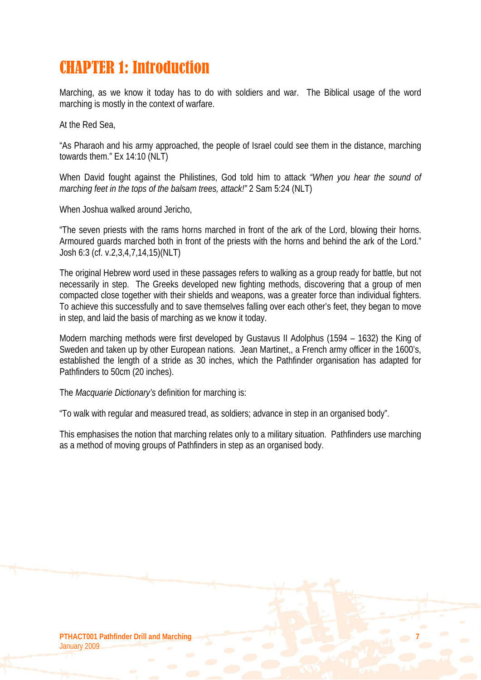# CHAPTER 1: Introduction

Marching, as we know it today has to do with soldiers and war. The Biblical usage of the word marching is mostly in the context of warfare.

At the Red Sea,

"As Pharaoh and his army approached, the people of Israel could see them in the distance, marching towards them." Ex 14:10 (NLT)

When David fought against the Philistines, God told him to attack *"When you hear the sound of marching feet in the tops of the balsam trees, attack!"* 2 Sam 5:24 (NLT)

When Joshua walked around Jericho,

"The seven priests with the rams horns marched in front of the ark of the Lord, blowing their horns. Armoured guards marched both in front of the priests with the horns and behind the ark of the Lord." Josh 6:3 (cf. v.2,3,4,7,14,15)(NLT)

The original Hebrew word used in these passages refers to walking as a group ready for battle, but not necessarily in step. The Greeks developed new fighting methods, discovering that a group of men compacted close together with their shields and weapons, was a greater force than individual fighters. To achieve this successfully and to save themselves falling over each other's feet, they began to move in step, and laid the basis of marching as we know it today.

Modern marching methods were first developed by Gustavus II Adolphus (1594 – 1632) the King of Sweden and taken up by other European nations. Jean Martinet,, a French army officer in the 1600's, established the length of a stride as 30 inches, which the Pathfinder organisation has adapted for Pathfinders to 50cm (20 inches).

The *Macquarie Dictionary's* definition for marching is:

"To walk with regular and measured tread, as soldiers; advance in step in an organised body".

This emphasises the notion that marching relates only to a military situation. Pathfinders use marching as a method of moving groups of Pathfinders in step as an organised body.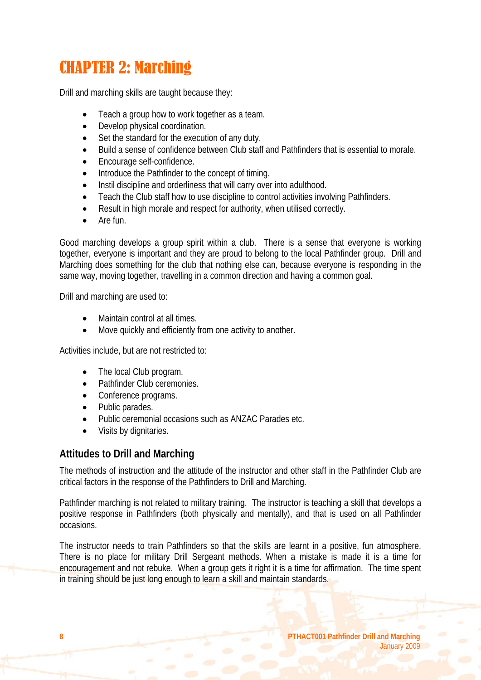# CHAPTER 2: Marching

Drill and marching skills are taught because they:

- Teach a group how to work together as a team.
- Develop physical coordination.
- Set the standard for the execution of any duty.
- Build a sense of confidence between Club staff and Pathfinders that is essential to morale.
- Encourage self-confidence.
- Introduce the Pathfinder to the concept of timing.
- Instil discipline and orderliness that will carry over into adulthood.
- Teach the Club staff how to use discipline to control activities involving Pathfinders.
- Result in high morale and respect for authority, when utilised correctly.
- Are fun.

Good marching develops a group spirit within a club. There is a sense that everyone is working together, everyone is important and they are proud to belong to the local Pathfinder group. Drill and Marching does something for the club that nothing else can, because everyone is responding in the same way, moving together, travelling in a common direction and having a common goal.

Drill and marching are used to:

- Maintain control at all times.
- Move quickly and efficiently from one activity to another.

Activities include, but are not restricted to:

- The local Club program.
- Pathfinder Club ceremonies.
- Conference programs.
- Public parades.
- Public ceremonial occasions such as ANZAC Parades etc.
- Visits by dignitaries.

### **Attitudes to Drill and Marching**

The methods of instruction and the attitude of the instructor and other staff in the Pathfinder Club are critical factors in the response of the Pathfinders to Drill and Marching.

Pathfinder marching is not related to military training. The instructor is teaching a skill that develops a positive response in Pathfinders (both physically and mentally), and that is used on all Pathfinder occasions.

The instructor needs to train Pathfinders so that the skills are learnt in a positive, fun atmosphere. There is no place for military Drill Sergeant methods. When a mistake is made it is a time for encouragement and not rebuke. When a group gets it right it is a time for affirmation. The time spent in training should be just long enough to learn a skill and maintain standards.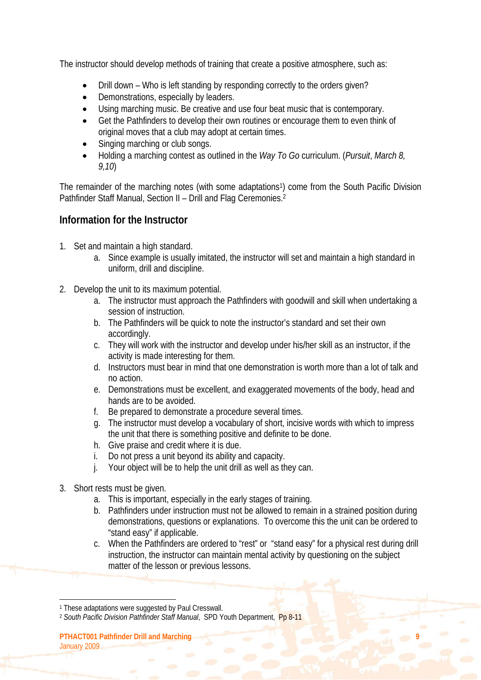The instructor should develop methods of training that create a positive atmosphere, such as:

- Drill down Who is left standing by responding correctly to the orders given?
- Demonstrations, especially by leaders.
- Using marching music. Be creative and use four beat music that is contemporary.
- Get the Pathfinders to develop their own routines or encourage them to even think of original moves that a club may adopt at certain times.
- Singing marching or club songs.
- Holding a marching contest as outlined in the *Way To Go* curriculum. (*Pursuit*, *March 8, 9,10*)

The remainder of the marching notes (with some adaptations<sup>1</sup>) come from the South Pacific Division Pathfinder Staff Manual, Section II - Drill and Flag Ceremonies.<sup>2</sup>

# **Information for the Instructor**

- 1. Set and maintain a high standard.
	- a. Since example is usually imitated, the instructor will set and maintain a high standard in uniform, drill and discipline.
- 2. Develop the unit to its maximum potential.
	- a. The instructor must approach the Pathfinders with goodwill and skill when undertaking a session of instruction.
	- b. The Pathfinders will be quick to note the instructor's standard and set their own accordingly.
	- c. They will work with the instructor and develop under his/her skill as an instructor, if the activity is made interesting for them.
	- d. Instructors must bear in mind that one demonstration is worth more than a lot of talk and no action.
	- e. Demonstrations must be excellent, and exaggerated movements of the body, head and hands are to be avoided.
	- f. Be prepared to demonstrate a procedure several times.
	- g. The instructor must develop a vocabulary of short, incisive words with which to impress the unit that there is something positive and definite to be done.
	- h. Give praise and credit where it is due.
	- i. Do not press a unit beyond its ability and capacity.
	- j. Your object will be to help the unit drill as well as they can.
- 3. Short rests must be given.
	- a. This is important, especially in the early stages of training.
	- b. Pathfinders under instruction must not be allowed to remain in a strained position during demonstrations, questions or explanations. To overcome this the unit can be ordered to "stand easy" if applicable.
	- c. When the Pathfinders are ordered to "rest" or "stand easy" for a physical rest during drill instruction, the instructor can maintain mental activity by questioning on the subject matter of the lesson or previous lessons.

<sup>1</sup> These adaptations were suggested by Paul Cresswall.

<sup>&</sup>lt;sup>2</sup> South Pacific Division Pathfinder Staff Manual, SPD Youth Department, Pp 8-11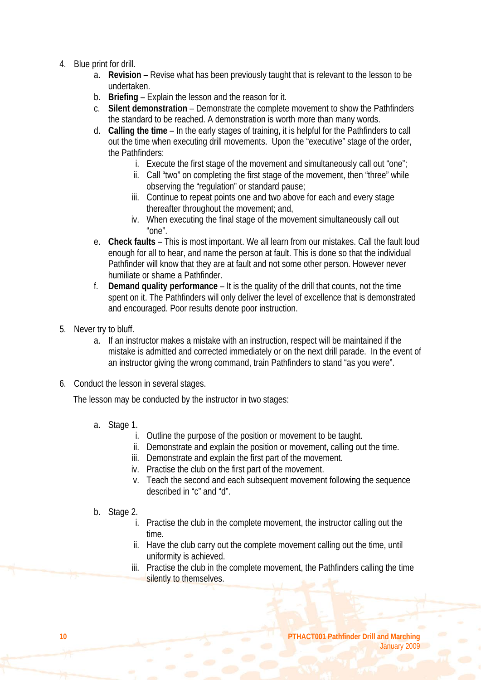- 4. Blue print for drill.
	- a. **Revision** Revise what has been previously taught that is relevant to the lesson to be undertaken.
	- b. **Briefing** Explain the lesson and the reason for it.
	- c. **Silent demonstration** Demonstrate the complete movement to show the Pathfinders the standard to be reached. A demonstration is worth more than many words.
	- d. **Calling the time** In the early stages of training, it is helpful for the Pathfinders to call out the time when executing drill movements. Upon the "executive" stage of the order, the Pathfinders:
		- i. Execute the first stage of the movement and simultaneously call out "one";
		- ii. Call "two" on completing the first stage of the movement, then "three" while observing the "regulation" or standard pause;
		- iii. Continue to repeat points one and two above for each and every stage thereafter throughout the movement; and,
		- iv. When executing the final stage of the movement simultaneously call out "one".
	- e. **Check faults** This is most important. We all learn from our mistakes. Call the fault loud enough for all to hear, and name the person at fault. This is done so that the individual Pathfinder will know that they are at fault and not some other person. However never humiliate or shame a Pathfinder.
	- f. **Demand quality performance** It is the quality of the drill that counts, not the time spent on it. The Pathfinders will only deliver the level of excellence that is demonstrated and encouraged. Poor results denote poor instruction.
- 5. Never try to bluff.
	- a. If an instructor makes a mistake with an instruction, respect will be maintained if the mistake is admitted and corrected immediately or on the next drill parade. In the event of an instructor giving the wrong command, train Pathfinders to stand "as you were".
- 6. Conduct the lesson in several stages.

The lesson may be conducted by the instructor in two stages:

- a. Stage 1.
	- i. Outline the purpose of the position or movement to be taught.
	- ii. Demonstrate and explain the position or movement, calling out the time.
	- iii. Demonstrate and explain the first part of the movement.
	- iv. Practise the club on the first part of the movement.
	- v. Teach the second and each subsequent movement following the sequence described in "c" and "d".
- b. Stage 2.
	- i. Practise the club in the complete movement, the instructor calling out the time.
	- ii. Have the club carry out the complete movement calling out the time, until uniformity is achieved.
	- iii. Practise the club in the complete movement, the Pathfinders calling the time silently to themselves.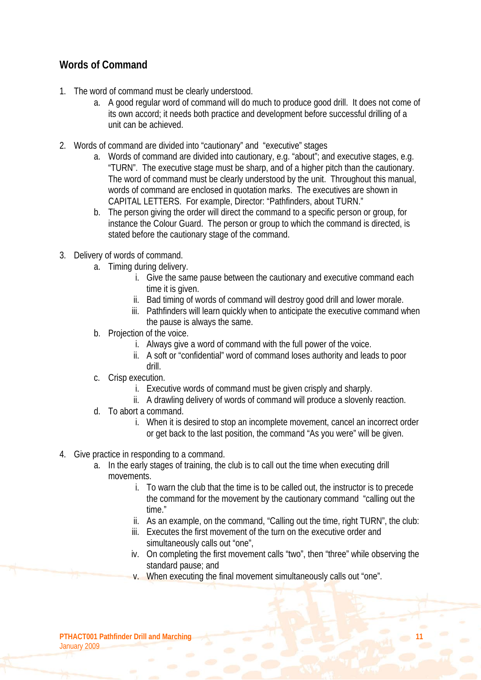# **Words of Command**

- 1. The word of command must be clearly understood.
	- a. A good regular word of command will do much to produce good drill. It does not come of its own accord; it needs both practice and development before successful drilling of a unit can be achieved.
- 2. Words of command are divided into "cautionary" and "executive" stages
	- a. Words of command are divided into cautionary, e.g. "about"; and executive stages, e.g. "TURN". The executive stage must be sharp, and of a higher pitch than the cautionary. The word of command must be clearly understood by the unit. Throughout this manual, words of command are enclosed in quotation marks. The executives are shown in CAPITAL LETTERS. For example, Director: "Pathfinders, about TURN."
	- b. The person giving the order will direct the command to a specific person or group, for instance the Colour Guard. The person or group to which the command is directed, is stated before the cautionary stage of the command.
- 3. Delivery of words of command.
	- a. Timing during delivery.
		- i. Give the same pause between the cautionary and executive command each time it is given.
		- ii. Bad timing of words of command will destroy good drill and lower morale.
		- iii. Pathfinders will learn quickly when to anticipate the executive command when the pause is always the same.
	- b. Projection of the voice.
		- i. Always give a word of command with the full power of the voice.
		- ii. A soft or "confidential" word of command loses authority and leads to poor drill.
	- c. Crisp execution.
		- i. Executive words of command must be given crisply and sharply.
		- ii. A drawling delivery of words of command will produce a slovenly reaction.
	- d. To abort a command.
		- i. When it is desired to stop an incomplete movement, cancel an incorrect order or get back to the last position, the command "As you were" will be given.
- 4. Give practice in responding to a command.
	- a. In the early stages of training, the club is to call out the time when executing drill movements.
		- i. To warn the club that the time is to be called out, the instructor is to precede the command for the movement by the cautionary command "calling out the time."
		- ii. As an example, on the command, "Calling out the time, right TURN", the club:
		- iii. Executes the first movement of the turn on the executive order and simultaneously calls out "one",
		- iv. On completing the first movement calls "two", then "three" while observing the standard pause; and
		- v. When executing the final movement simultaneously calls out "one".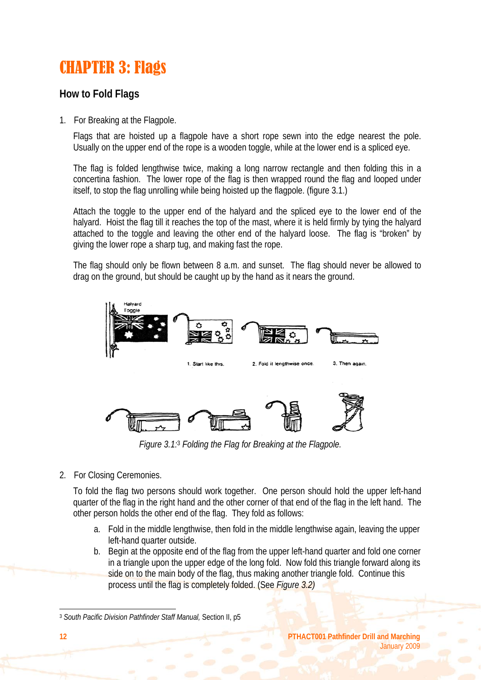# CHAPTER 3: Flags

# **How to Fold Flags**

1. For Breaking at the Flagpole.

Flags that are hoisted up a flagpole have a short rope sewn into the edge nearest the pole. Usually on the upper end of the rope is a wooden toggle, while at the lower end is a spliced eye.

The flag is folded lengthwise twice, making a long narrow rectangle and then folding this in a concertina fashion. The lower rope of the flag is then wrapped round the flag and looped under itself, to stop the flag unrolling while being hoisted up the flagpole. (figure 3.1.)

Attach the toggle to the upper end of the halyard and the spliced eye to the lower end of the halyard. Hoist the flag till it reaches the top of the mast, where it is held firmly by tying the halyard attached to the toggle and leaving the other end of the halyard loose. The flag is "broken" by giving the lower rope a sharp tug, and making fast the rope.

The flag should only be flown between 8 a.m. and sunset. The flag should never be allowed to drag on the ground, but should be caught up by the hand as it nears the ground.



*Figure 3.1:*3 *Folding the Flag for Breaking at the Flagpole.* 

2. For Closing Ceremonies.

To fold the flag two persons should work together. One person should hold the upper left-hand quarter of the flag in the right hand and the other corner of that end of the flag in the left hand. The other person holds the other end of the flag. They fold as follows:

- a. Fold in the middle lengthwise, then fold in the middle lengthwise again, leaving the upper left-hand quarter outside.
- b. Begin at the opposite end of the flag from the upper left-hand quarter and fold one corner in a triangle upon the upper edge of the long fold. Now fold this triangle forward along its side on to the main body of the flag, thus making another triangle fold. Continue this process until the flag is completely folded. (See *Figure 3.2)*

<sup>3</sup> *South Pacific Division Pathfinder Staff Manual,* Section II, p5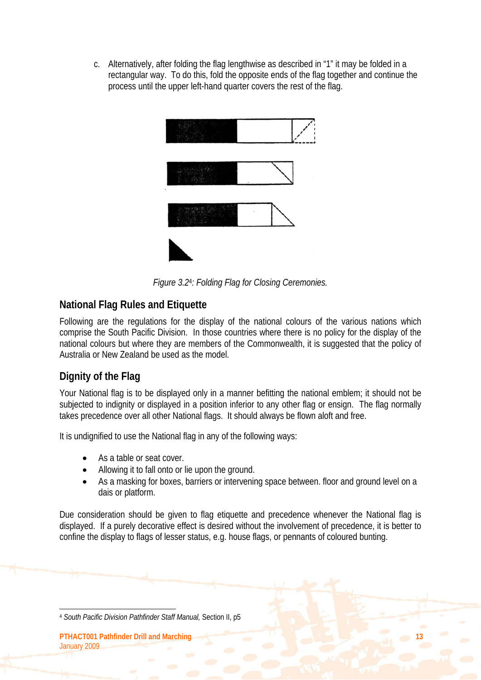c. Alternatively, after folding the flag lengthwise as described in "1" it may be folded in a rectangular way. To do this, fold the opposite ends of the flag together and continue the process until the upper left-hand quarter covers the rest of the flag.



*Figure 3.2*4*: Folding Flag for Closing Ceremonies.* 

# **National Flag Rules and Etiquette**

Following are the regulations for the display of the national colours of the various nations which comprise the South Pacific Division. In those countries where there is no policy for the display of the national colours but where they are members of the Commonwealth, it is suggested that the policy of Australia or New Zealand be used as the model.

# **Dignity of the Flag**

Your National flag is to be displayed only in a manner befitting the national emblem; it should not be subjected to indignity or displayed in a position inferior to any other flag or ensign. The flag normally takes precedence over all other National flags. It should always be flown aloft and free.

It is undignified to use the National flag in any of the following ways:

- As a table or seat cover.
- Allowing it to fall onto or lie upon the ground.
- As a masking for boxes, barriers or intervening space between. floor and ground level on a dais or platform.

Due consideration should be given to flag etiquette and precedence whenever the National flag is displayed. If a purely decorative effect is desired without the involvement of precedence, it is better to confine the display to flags of lesser status, e.g. house flags, or pennants of coloured bunting.

 $\overline{a}$ <sup>4</sup> *South Pacific Division Pathfinder Staff Manual,* Section II, p5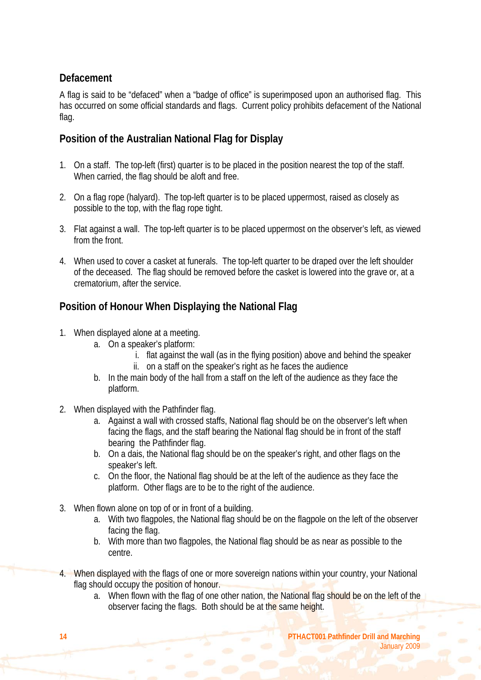# **Defacement**

A flag is said to be "defaced" when a "badge of office" is superimposed upon an authorised flag. This has occurred on some official standards and flags. Current policy prohibits defacement of the National flag.

# **Position of the Australian National Flag for Display**

- 1. On a staff. The top-left (first) quarter is to be placed in the position nearest the top of the staff. When carried, the flag should be aloft and free.
- 2. On a flag rope (halyard). The top-left quarter is to be placed uppermost, raised as closely as possible to the top, with the flag rope tight.
- 3. Flat against a wall. The top-left quarter is to be placed uppermost on the observer's left, as viewed from the front.
- 4. When used to cover a casket at funerals. The top-left quarter to be draped over the left shoulder of the deceased. The flag should be removed before the casket is lowered into the grave or, at a crematorium, after the service.

# **Position of Honour When Displaying the National Flag**

- 1. When displayed alone at a meeting.
	- a. On a speaker's platform:
		- i. flat against the wall (as in the flying position) above and behind the speaker
		- ii. on a staff on the speaker's right as he faces the audience
	- b. In the main body of the hall from a staff on the left of the audience as they face the platform.
- 2. When displayed with the Pathfinder flag.
	- a. Against a wall with crossed staffs, National flag should be on the observer's left when facing the flags, and the staff bearing the National flag should be in front of the staff bearing the Pathfinder flag.
	- b. On a dais, the National flag should be on the speaker's right, and other flags on the speaker's left.
	- c. On the floor, the National flag should be at the left of the audience as they face the platform. Other flags are to be to the right of the audience.
- 3. When flown alone on top of or in front of a building.
	- a. With two flagpoles, the National flag should be on the flagpole on the left of the observer facing the flag.
	- b. With more than two flagpoles, the National flag should be as near as possible to the centre.
- 4. When displayed with the flags of one or more sovereign nations within your country, your National flag should occupy the position of honour.
	- a. When flown with the flag of one other nation, the National flag should be on the left of the observer facing the flags. Both should be at the same height.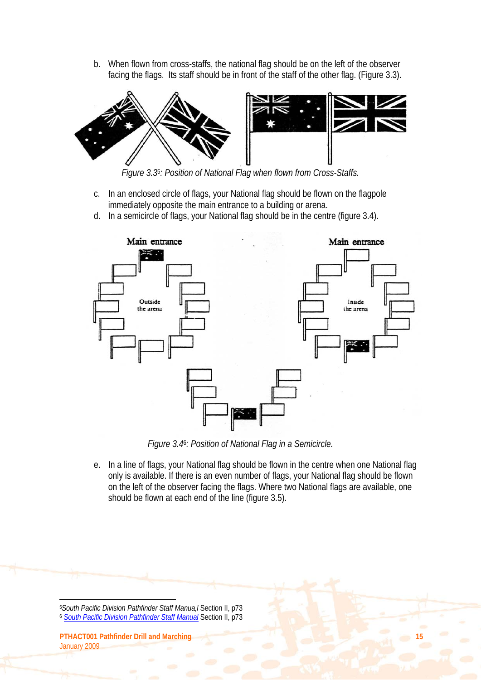b. When flown from cross-staffs, the national flag should be on the left of the observer facing the flags. Its staff should be in front of the staff of the other flag. (Figure 3.3).



*Figure 3.3*5*: Position of National Flag when flown from Cross-Staffs.* 

- c. In an enclosed circle of flags, your National flag should be flown on the flagpole immediately opposite the main entrance to a building or arena.
- d. In a semicircle of flags, your National flag should be in the centre (figure 3.4).



*Figure 3.4*6*: Position of National Flag in a Semicircle.* 

e. In a line of flags, your National flag should be flown in the centre when one National flag only is available. If there is an even number of flags, your National flag should be flown on the left of the observer facing the flags. Where two National flags are available, one should be flown at each end of the line (figure 3.5).

<sup>5</sup>*South Pacific Division Pathfinder Staff Manua,l* Section II, p73 <sup>6</sup> *South Pacific Division Pathfinder Staff Manual* Section II, p73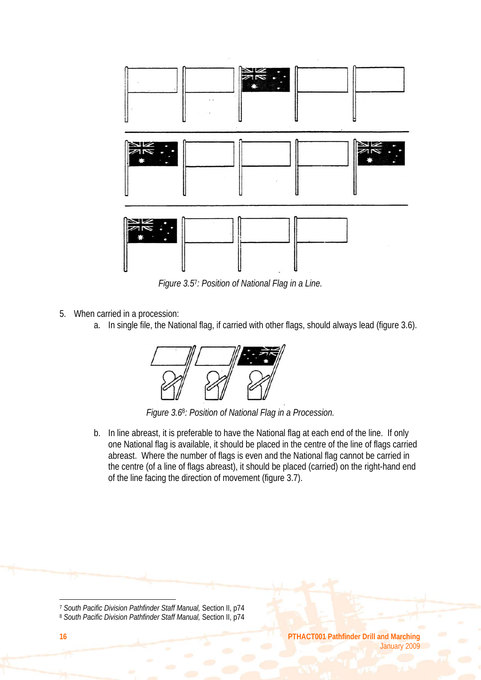

*Figure 3.5*7*: Position of National Flag in a Line.* 

- 5. When carried in a procession:
	- a. In single file, the National flag, if carried with other flags, should always lead (figure 3.6).



*Figure 3.6*8*: Position of National Flag in a Procession.* 

b. In line abreast, it is preferable to have the National flag at each end of the line. If only one National flag is available, it should be placed in the centre of the line of flags carried abreast. Where the number of flags is even and the National flag cannot be carried in the centre (of a line of flags abreast), it should be placed (carried) on the right-hand end of the line facing the direction of movement (figure 3.7).

<sup>7</sup> *South Pacific Division Pathfinder Staff Manual,* Section II, p74

<sup>8</sup> *South Pacific Division Pathfinder Staff Manual,* Section II, p74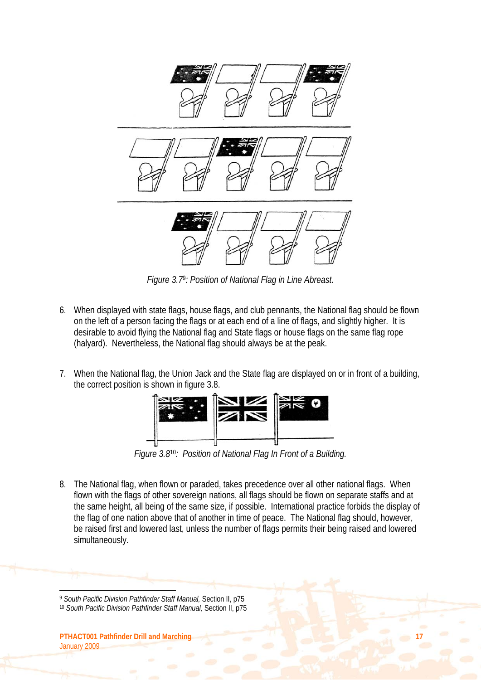

*Figure 3.7*9*: Position of National Flag in Line Abreast.* 

- 6. When displayed with state flags, house flags, and club pennants, the National flag should be flown on the left of a person facing the flags or at each end of a line of flags, and slightly higher. It is desirable to avoid flying the National flag and State flags or house flags on the same flag rope (halyard). Nevertheless, the National flag should always be at the peak.
- 7. When the National flag, the Union Jack and the State flag are displayed on or in front of a building, the correct position is shown in figure 3.8.



*Figure 3.8*10*: Position of National Flag In Front of a Building.* 

8. The National flag, when flown or paraded, takes precedence over all other national flags. When flown with the flags of other sovereign nations, all flags should be flown on separate staffs and at the same height, all being of the same size, if possible. International practice forbids the display of the flag of one nation above that of another in time of peace. The National flag should, however, be raised first and lowered last, unless the number of flags permits their being raised and lowered simultaneously.

<sup>9</sup> *South Pacific Division Pathfinder Staff Manual,* Section II, p75

<sup>10</sup> *South Pacific Division Pathfinder Staff Manual,* Section II, p75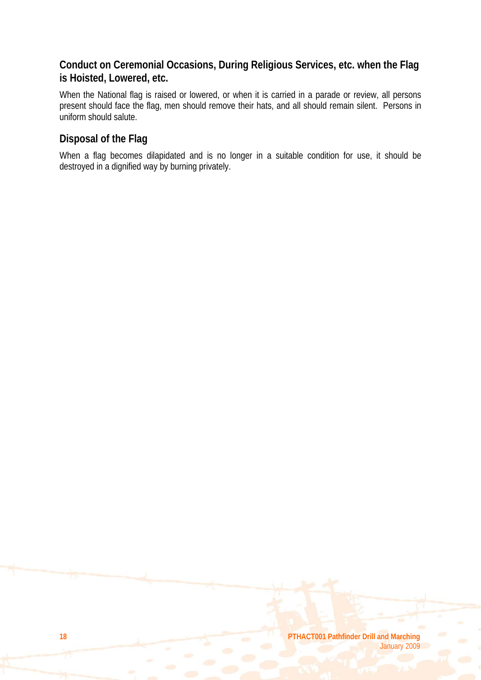# **Conduct on Ceremonial Occasions, During Religious Services, etc. when the Flag is Hoisted, Lowered, etc.**

When the National flag is raised or lowered, or when it is carried in a parade or review, all persons present should face the flag, men should remove their hats, and all should remain silent. Persons in uniform should salute.

# **Disposal of the Flag**

When a flag becomes dilapidated and is no longer in a suitable condition for use, it should be destroyed in a dignified way by burning privately.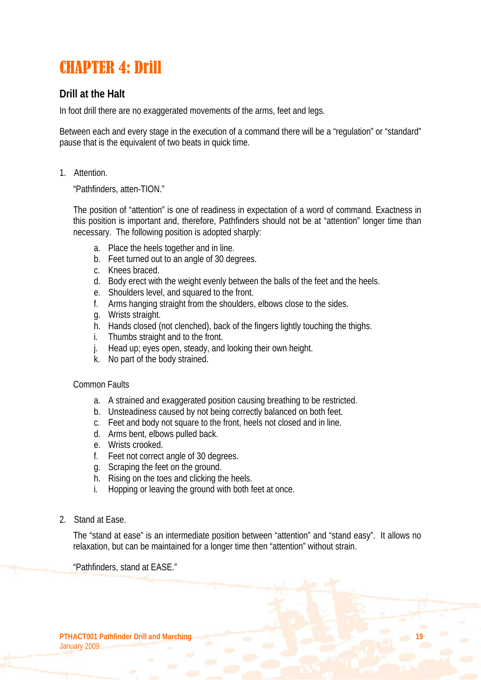# CHAPTER 4: Drill

# **Drill at the Halt**

In foot drill there are no exaggerated movements of the arms, feet and legs.

Between each and every stage in the execution of a command there will be a "regulation" or "standard" pause that is the equivalent of two beats in quick time.

1. Attention.

"Pathfinders, atten-TION."

The position of "attention" is one of readiness in expectation of a word of command. Exactness in this position is important and, therefore, Pathfinders should not be at "attention" longer time than necessary. The following position is adopted sharply:

- a. Place the heels together and in line.
- b. Feet turned out to an angle of 30 degrees.
- c. Knees braced.
- d. Body erect with the weight evenly between the balls of the feet and the heels.
- e. Shoulders level, and squared to the front.
- f. Arms hanging straight from the shoulders, elbows close to the sides.
- g. Wrists straight.
- h. Hands closed (not clenched), back of the fingers lightly touching the thighs.
- i. Thumbs straight and to the front.
- j. Head up; eyes open, steady, and looking their own height.
- k. No part of the body strained.

#### Common Faults

- a. A strained and exaggerated position causing breathing to be restricted.
- b. Unsteadiness caused by not being correctly balanced on both feet.
- c. Feet and body not square to the front, heels not closed and in line.
- d. Arms bent, elbows pulled back.
- e. Wrists crooked.
- f. Feet not correct angle of 30 degrees.
- g. Scraping the feet on the ground.
- h. Rising on the toes and clicking the heels.
- i. Hopping or leaving the ground with both feet at once.
- 2. Stand at Ease.

The "stand at ease" is an intermediate position between "attention" and "stand easy". It allows no relaxation, but can be maintained for a longer time then "attention" without strain.

"Pathfinders, stand at EASE."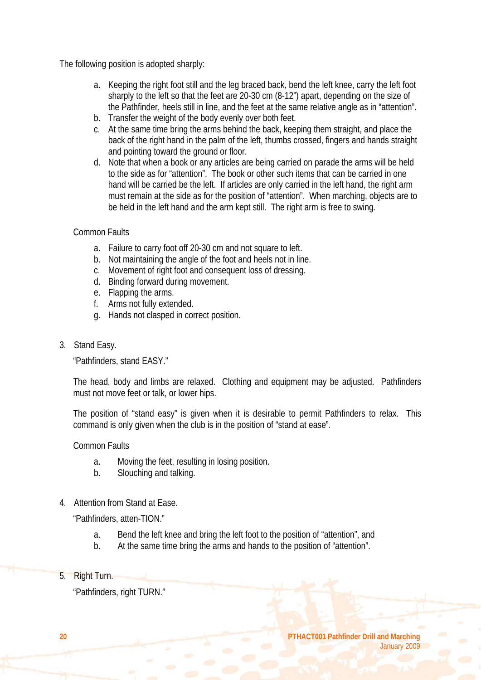The following position is adopted sharply:

- a. Keeping the right foot still and the leg braced back, bend the left knee, carry the left foot sharply to the left so that the feet are 20-30 cm (8-12") apart, depending on the size of the Pathfinder, heels still in line, and the feet at the same relative angle as in "attention".
- b. Transfer the weight of the body evenly over both feet.
- c. At the same time bring the arms behind the back, keeping them straight, and place the back of the right hand in the palm of the left, thumbs crossed, fingers and hands straight and pointing toward the ground or floor.
- d. Note that when a book or any articles are being carried on parade the arms will be held to the side as for "attention". The book or other such items that can be carried in one hand will be carried be the left. If articles are only carried in the left hand, the right arm must remain at the side as for the position of "attention". When marching, objects are to be held in the left hand and the arm kept still. The right arm is free to swing.

#### Common Faults

- a. Failure to carry foot off 20-30 cm and not square to left.
- b. Not maintaining the angle of the foot and heels not in line.
- c. Movement of right foot and consequent loss of dressing.
- d. Binding forward during movement.
- e. Flapping the arms.
- f. Arms not fully extended.
- g. Hands not clasped in correct position.
- 3. Stand Easy.

"Pathfinders, stand EASY."

The head, body and limbs are relaxed. Clothing and equipment may be adjusted. Pathfinders must not move feet or talk, or lower hips.

The position of "stand easy" is given when it is desirable to permit Pathfinders to relax. This command is only given when the club is in the position of "stand at ease".

Common Faults

- a. Moving the feet, resulting in losing position.
- b. Slouching and talking.
- 4. Attention from Stand at Ease.

"Pathfinders, atten-TION."

- a. Bend the left knee and bring the left foot to the position of "attention", and
- b. At the same time bring the arms and hands to the position of "attention".
- 5. Right Turn.

"Pathfinders, right TURN."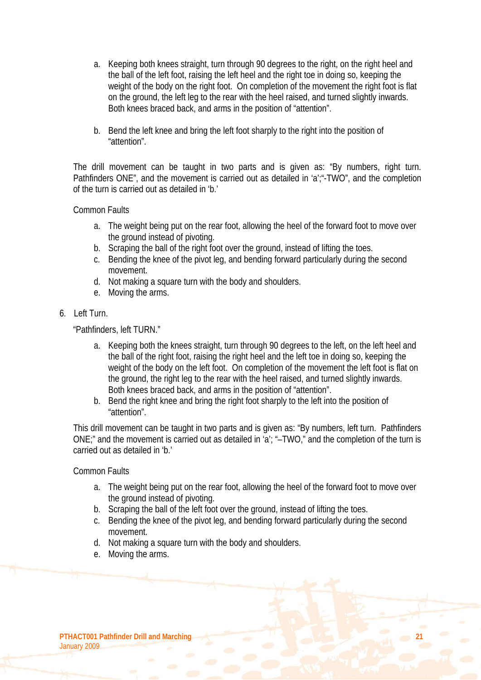- a. Keeping both knees straight, turn through 90 degrees to the right, on the right heel and the ball of the left foot, raising the left heel and the right toe in doing so, keeping the weight of the body on the right foot. On completion of the movement the right foot is flat on the ground, the left leg to the rear with the heel raised, and turned slightly inwards. Both knees braced back, and arms in the position of "attention".
- b. Bend the left knee and bring the left foot sharply to the right into the position of "attention".

The drill movement can be taught in two parts and is given as: "By numbers, right turn. Pathfinders ONE", and the movement is carried out as detailed in 'a';"-TWO", and the completion of the turn is carried out as detailed in 'b.'

#### Common Faults

- a. The weight being put on the rear foot, allowing the heel of the forward foot to move over the ground instead of pivoting.
- b. Scraping the ball of the right foot over the ground, instead of lifting the toes.
- c. Bending the knee of the pivot leg, and bending forward particularly during the second movement.
- d. Not making a square turn with the body and shoulders.
- e. Moving the arms.
- 6. Left Turn.

"Pathfinders, left TURN."

- a. Keeping both the knees straight, turn through 90 degrees to the left, on the left heel and the ball of the right foot, raising the right heel and the left toe in doing so, keeping the weight of the body on the left foot. On completion of the movement the left foot is flat on the ground, the right leg to the rear with the heel raised, and turned slightly inwards. Both knees braced back, and arms in the position of "attention".
- b. Bend the right knee and bring the right foot sharply to the left into the position of "attention".

This drill movement can be taught in two parts and is given as: "By numbers, left turn. Pathfinders ONE;" and the movement is carried out as detailed in 'a'; "–TWO," and the completion of the turn is carried out as detailed in 'b.'

Common Faults

- a. The weight being put on the rear foot, allowing the heel of the forward foot to move over the ground instead of pivoting.
- b. Scraping the ball of the left foot over the ground, instead of lifting the toes.
- c. Bending the knee of the pivot leg, and bending forward particularly during the second movement.
- d. Not making a square turn with the body and shoulders.
- e. Moving the arms.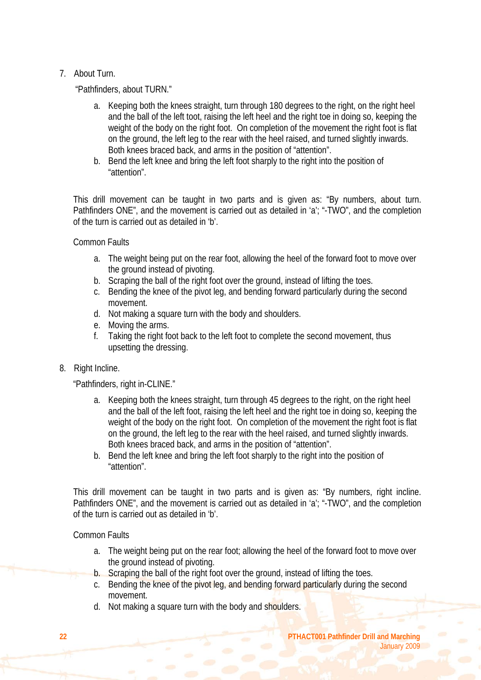#### 7. About Turn.

"Pathfinders, about TURN."

- a. Keeping both the knees straight, turn through 180 degrees to the right, on the right heel and the ball of the left toot, raising the left heel and the right toe in doing so, keeping the weight of the body on the right foot. On completion of the movement the right foot is flat on the ground, the left leg to the rear with the heel raised, and turned slightly inwards. Both knees braced back, and arms in the position of "attention".
- b. Bend the left knee and bring the left foot sharply to the right into the position of "attention".

This drill movement can be taught in two parts and is given as: "By numbers, about turn. Pathfinders ONE", and the movement is carried out as detailed in 'a'; "-TWO", and the completion of the turn is carried out as detailed in 'b'.

Common Faults

- a. The weight being put on the rear foot, allowing the heel of the forward foot to move over the ground instead of pivoting.
- b. Scraping the ball of the right foot over the ground, instead of lifting the toes.
- c. Bending the knee of the pivot leg, and bending forward particularly during the second movement.
- d. Not making a square turn with the body and shoulders.
- e. Moving the arms.
- f. Taking the right foot back to the left foot to complete the second movement, thus upsetting the dressing.
- 8. Right Incline.

"Pathfinders, right in-CLINE."

- a. Keeping both the knees straight, turn through 45 degrees to the right, on the right heel and the ball of the left foot, raising the left heel and the right toe in doing so, keeping the weight of the body on the right foot. On completion of the movement the right foot is flat on the ground, the left leg to the rear with the heel raised, and turned slightly inwards. Both knees braced back, and arms in the position of "attention".
- b. Bend the left knee and bring the left foot sharply to the right into the position of "attention".

This drill movement can be taught in two parts and is given as: "By numbers, right incline. Pathfinders ONE", and the movement is carried out as detailed in 'a': "-TWO", and the completion of the turn is carried out as detailed in 'b'.

Common Faults

- a. The weight being put on the rear foot; allowing the heel of the forward foot to move over the ground instead of pivoting.
- b. Scraping the ball of the right foot over the ground, instead of lifting the toes.
- c. Bending the knee of the pivot leg, and bending forward particularly during the second movement.
- d. Not making a square turn with the body and shoulders.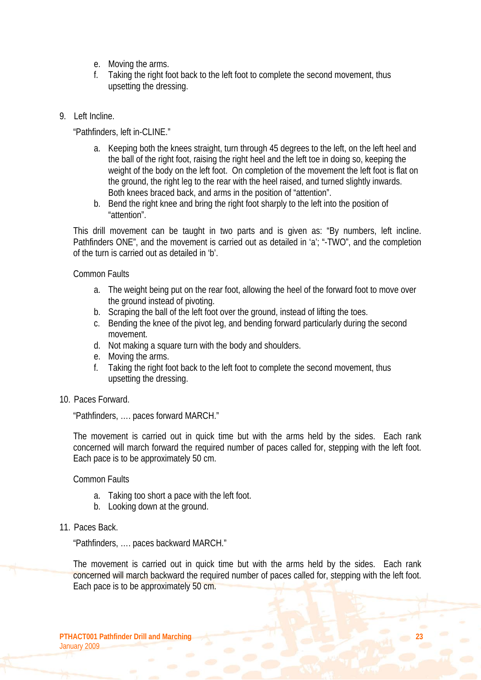- e. Moving the arms.
- f. Taking the right foot back to the left foot to complete the second movement, thus upsetting the dressing.
- 9. Left Incline.

"Pathfinders, left in-CLINE."

- a. Keeping both the knees straight, turn through 45 degrees to the left, on the left heel and the ball of the right foot, raising the right heel and the left toe in doing so, keeping the weight of the body on the left foot. On completion of the movement the left foot is flat on the ground, the right leg to the rear with the heel raised, and turned slightly inwards. Both knees braced back, and arms in the position of "attention".
- b. Bend the right knee and bring the right foot sharply to the left into the position of "attention".

This drill movement can be taught in two parts and is given as: "By numbers, left incline. Pathfinders ONE", and the movement is carried out as detailed in 'a'; "-TWO", and the completion of the turn is carried out as detailed in 'b'.

Common Faults

- a. The weight being put on the rear foot, allowing the heel of the forward foot to move over the ground instead of pivoting.
- b. Scraping the ball of the left foot over the ground, instead of lifting the toes.
- c. Bending the knee of the pivot leg, and bending forward particularly during the second movement.
- d. Not making a square turn with the body and shoulders.
- e. Moving the arms.
- f. Taking the right foot back to the left foot to complete the second movement, thus upsetting the dressing.
- 10. Paces Forward.

"Pathfinders, …. paces forward MARCH."

The movement is carried out in quick time but with the arms held by the sides. Each rank concerned will march forward the required number of paces called for, stepping with the left foot. Each pace is to be approximately 50 cm.

Common Faults

- a. Taking too short a pace with the left foot.
- b. Looking down at the ground.
- 11. Paces Back.

"Pathfinders, …. paces backward MARCH."

The movement is carried out in quick time but with the arms held by the sides. Each rank concerned will march backward the required number of paces called for, stepping with the left foot. Each pace is to be approximately 50 cm.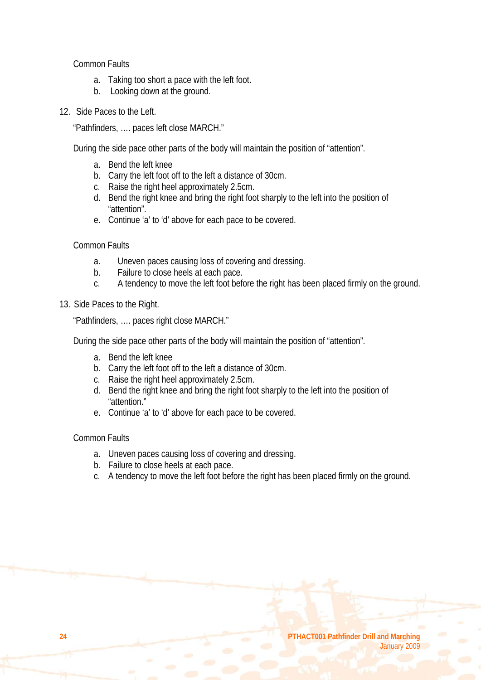Common Faults

- a. Taking too short a pace with the left foot.
- b. Looking down at the ground.
- 12. Side Paces to the Left.

"Pathfinders, …. paces left close MARCH."

During the side pace other parts of the body will maintain the position of "attention".

- a. Bend the left knee
- b. Carry the left foot off to the left a distance of 30cm.
- c. Raise the right heel approximately 2.5cm.
- d. Bend the right knee and bring the right foot sharply to the left into the position of "attention".
- e. Continue 'a' to 'd' above for each pace to be covered.

Common Faults

- a. Uneven paces causing loss of covering and dressing.
- b. Failure to close heels at each pace.
- c. A tendency to move the left foot before the right has been placed firmly on the ground.
- 13. Side Paces to the Right.

"Pathfinders, …. paces right close MARCH."

During the side pace other parts of the body will maintain the position of "attention".

- a. Bend the left knee
- b. Carry the left foot off to the left a distance of 30cm.
- c. Raise the right heel approximately 2.5cm.
- d. Bend the right knee and bring the right foot sharply to the left into the position of "attention."
- e. Continue 'a' to 'd' above for each pace to be covered.

#### Common Faults

- a. Uneven paces causing loss of covering and dressing.
- b. Failure to close heels at each pace.
- c. A tendency to move the left foot before the right has been placed firmly on the ground.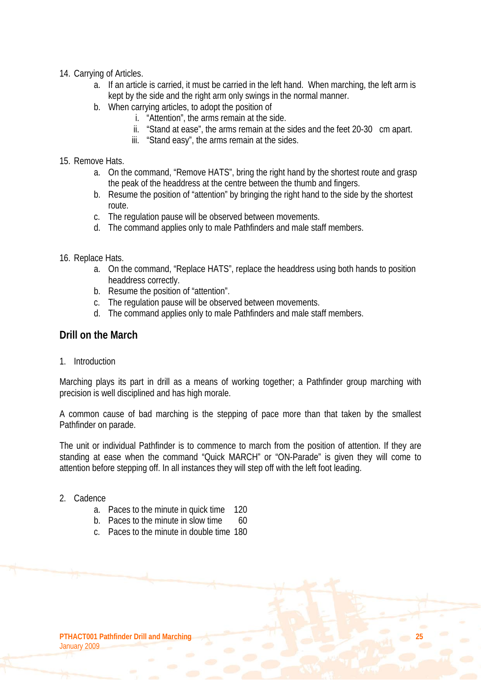- 14. Carrying of Articles.
	- a. If an article is carried, it must be carried in the left hand. When marching, the left arm is kept by the side and the right arm only swings in the normal manner.
	- b. When carrying articles, to adopt the position of
		- i. "Attention", the arms remain at the side.
		- ii. "Stand at ease", the arms remain at the sides and the feet 20-30 cm apart.
		- iii. "Stand easy", the arms remain at the sides.
- 15. Remove Hats.
	- a. On the command, "Remove HATS", bring the right hand by the shortest route and grasp the peak of the headdress at the centre between the thumb and fingers.
	- b. Resume the position of "attention" by bringing the right hand to the side by the shortest route.
	- c. The regulation pause will be observed between movements.
	- d. The command applies only to male Pathfinders and male staff members.
- 16. Replace Hats.
	- a. On the command, "Replace HATS", replace the headdress using both hands to position headdress correctly.
	- b. Resume the position of "attention".
	- c. The regulation pause will be observed between movements.
	- d. The command applies only to male Pathfinders and male staff members.

#### **Drill on the March**

1. Introduction

Marching plays its part in drill as a means of working together; a Pathfinder group marching with precision is well disciplined and has high morale.

A common cause of bad marching is the stepping of pace more than that taken by the smallest Pathfinder on parade.

The unit or individual Pathfinder is to commence to march from the position of attention. If they are standing at ease when the command "Quick MARCH" or "ON-Parade" is given they will come to attention before stepping off. In all instances they will step off with the left foot leading.

- 2. Cadence
	- a. Paces to the minute in quick time 120
	- b. Paces to the minute in slow time  $60$
	- c. Paces to the minute in double time 180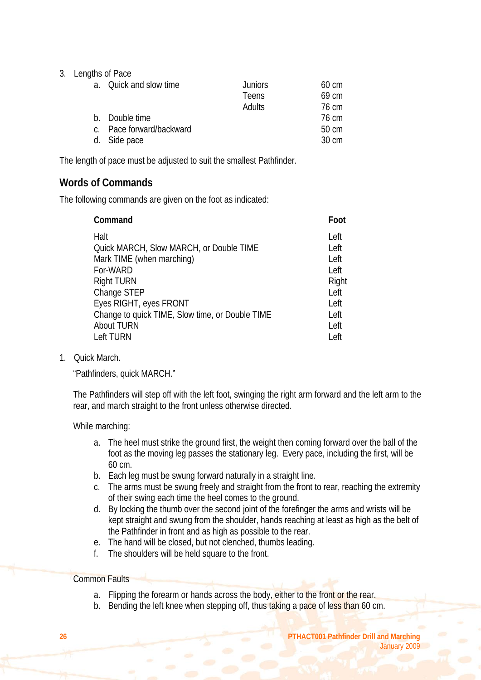3. Lengths of Pace

| a. Quick and slow time   | <b>Juniors</b> | $60 \text{ cm}$ |
|--------------------------|----------------|-----------------|
|                          | <b>Teens</b>   | 69 cm           |
|                          | Adults         | 76 cm           |
| b. Double time           |                | 76 cm           |
| c. Pace forward/backward |                | 50 cm           |
| d. Side pace             |                | 30 cm           |
|                          |                |                 |

The length of pace must be adjusted to suit the smallest Pathfinder.

### **Words of Commands**

The following commands are given on the foot as indicated:

| Command                                         | Foot  |
|-------------------------------------------------|-------|
| Halt                                            | Left  |
| Quick MARCH, Slow MARCH, or Double TIME         | Left  |
| Mark TIME (when marching)                       | Left  |
| For-WARD                                        | Left  |
| <b>Right TURN</b>                               | Right |
| Change STEP                                     | Left  |
| Eyes RIGHT, eyes FRONT                          | Left  |
| Change to quick TIME, Slow time, or Double TIME | Left  |
| <b>About TURN</b>                               | Left  |
| Left TURN                                       | Left  |

1. Quick March.

"Pathfinders, quick MARCH."

The Pathfinders will step off with the left foot, swinging the right arm forward and the left arm to the rear, and march straight to the front unless otherwise directed.

While marching:

- a. The heel must strike the ground first, the weight then coming forward over the ball of the foot as the moving leg passes the stationary leg. Every pace, including the first, will be 60 cm.
- b. Each leg must be swung forward naturally in a straight line.
- c. The arms must be swung freely and straight from the front to rear, reaching the extremity of their swing each time the heel comes to the ground.
- d. By locking the thumb over the second joint of the forefinger the arms and wrists will be kept straight and swung from the shoulder, hands reaching at least as high as the belt of the Pathfinder in front and as high as possible to the rear.
- e. The hand will be closed, but not clenched, thumbs leading.
- f. The shoulders will be held square to the front.

#### Common Faults

- a. Flipping the forearm or hands across the body, either to the front or the rear.
- b. Bending the left knee when stepping off, thus taking a pace of less than 60 cm.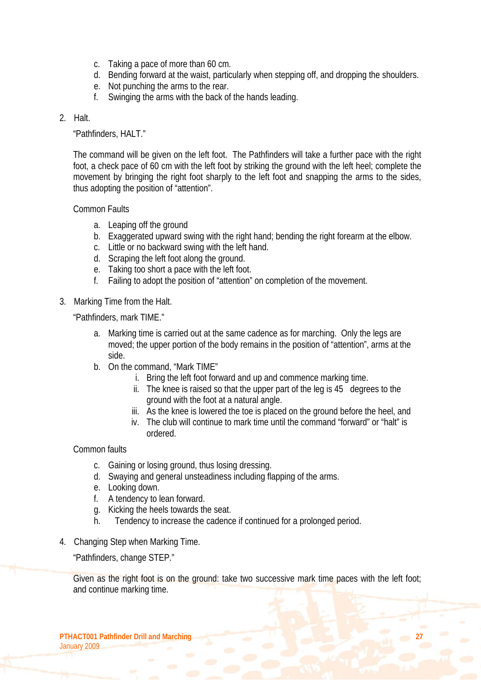- c. Taking a pace of more than 60 cm.
- d. Bending forward at the waist, particularly when stepping off, and dropping the shoulders.
- e. Not punching the arms to the rear.
- f. Swinging the arms with the back of the hands leading.

#### 2. Halt.

"Pathfinders, HALT."

The command will be given on the left foot. The Pathfinders will take a further pace with the right foot, a check pace of 60 cm with the left foot by striking the ground with the left heel; complete the movement by bringing the right foot sharply to the left foot and snapping the arms to the sides, thus adopting the position of "attention".

Common Faults

- a. Leaping off the ground
- b. Exaggerated upward swing with the right hand; bending the right forearm at the elbow.
- c. Little or no backward swing with the left hand.
- d. Scraping the left foot along the ground.
- e. Taking too short a pace with the left foot.
- f. Failing to adopt the position of "attention" on completion of the movement.
- 3. Marking Time from the Halt.

"Pathfinders, mark TIME."

- a. Marking time is carried out at the same cadence as for marching. Only the legs are moved; the upper portion of the body remains in the position of "attention", arms at the side.
- b. On the command, "Mark TIME"
	- i. Bring the left foot forward and up and commence marking time.
	- ii. The knee is raised so that the upper part of the leg is 45 degrees to the ground with the foot at a natural angle.
	- iii. As the knee is lowered the toe is placed on the ground before the heel, and
	- iv. The club will continue to mark time until the command "forward" or "halt" is ordered.

Common faults

- c. Gaining or losing ground, thus losing dressing.
- d. Swaying and general unsteadiness including flapping of the arms.
- e. Looking down.
- f. A tendency to lean forward.
- g. Kicking the heels towards the seat.
- h. Tendency to increase the cadence if continued for a prolonged period.
- 4. Changing Step when Marking Time.

"Pathfinders, change STEP."

Given as the right foot is on the ground: take two successive mark time paces with the left foot; and continue marking time.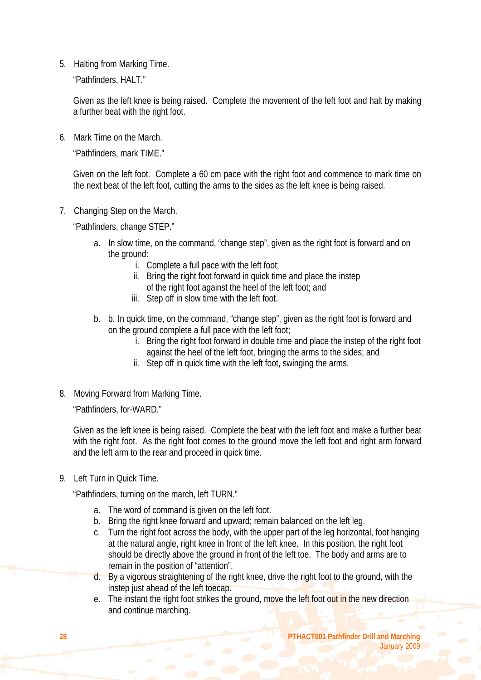5. Halting from Marking Time.

"Pathfinders, HALT."

Given as the left knee is being raised. Complete the movement of the left foot and halt by making a further beat with the right foot.

6. Mark Time on the March.

"Pathfinders, mark TIME."

Given on the left foot. Complete a 60 cm pace with the right foot and commence to mark time on the next beat of the left foot, cutting the arms to the sides as the left knee is being raised.

7. Changing Step on the March.

"Pathfinders, change STEP."

- a. In slow time, on the command, "change step", given as the right foot is forward and on the ground:
	- i. Complete a full pace with the left foot;
	- ii. Bring the right foot forward in quick time and place the instep of the right foot against the heel of the left foot; and
	- iii. Step off in slow time with the left foot.
- b. b. In quick time, on the command, "change step", given as the right foot is forward and on the ground complete a full pace with the left foot;
	- i. Bring the right foot forward in double time and place the instep of the right foot against the heel of the left foot, bringing the arms to the sides; and
	- ii. Step off in quick time with the left foot, swinging the arms.
- 8. Moving Forward from Marking Time.

"Pathfinders, for-WARD."

Given as the left knee is being raised. Complete the beat with the left foot and make a further beat with the right foot. As the right foot comes to the ground move the left foot and right arm forward and the left arm to the rear and proceed in quick time.

9. Left Turn in Quick Time.

"Pathfinders, turning on the march, left TURN."

- a. The word of command is given on the left foot.
- b. Bring the right knee forward and upward; remain balanced on the left leg.
- c. Turn the right foot across the body, with the upper part of the leg horizontal, foot hanging at the natural angle, right knee in front of the left knee. In this position, the right foot should be directly above the ground in front of the left toe. The body and arms are to remain in the position of "attention".
- d. By a vigorous straightening of the right knee, drive the right foot to the ground, with the instep just ahead of the left toecap.
- e. The instant the right foot strikes the ground, move the left foot out in the new direction and continue marching.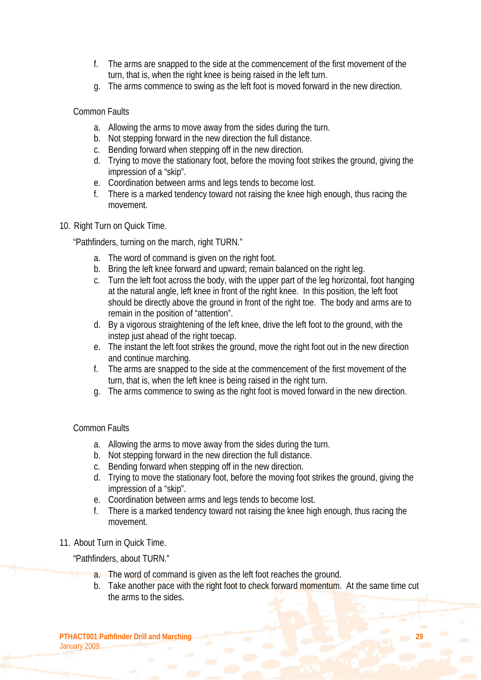- f. The arms are snapped to the side at the commencement of the first movement of the turn, that is, when the right knee is being raised in the left turn.
- g. The arms commence to swing as the left foot is moved forward in the new direction.

Common Faults

- a. Allowing the arms to move away from the sides during the turn.
- b. Not stepping forward in the new direction the full distance.
- c. Bending forward when stepping off in the new direction.
- d. Trying to move the stationary foot, before the moving foot strikes the ground, giving the impression of a "skip".
- e. Coordination between arms and legs tends to become lost.
- f. There is a marked tendency toward not raising the knee high enough, thus racing the movement.

#### 10. Right Turn on Quick Time.

"Pathfinders, turning on the march, right TURN."

- a. The word of command is given on the right foot.
- b. Bring the left knee forward and upward; remain balanced on the right leg.
- c. Turn the left foot across the body, with the upper part of the leg horizontal, foot hanging at the natural angle, left knee in front of the right knee. In this position, the left foot should be directly above the ground in front of the right toe. The body and arms are to remain in the position of "attention".
- d. By a vigorous straightening of the left knee, drive the left foot to the ground, with the instep just ahead of the right toecap.
- e. The instant the left foot strikes the ground, move the right foot out in the new direction and continue marching.
- f. The arms are snapped to the side at the commencement of the first movement of the turn, that is, when the left knee is being raised in the right turn.
- g. The arms commence to swing as the right foot is moved forward in the new direction.

#### Common Faults

- a. Allowing the arms to move away from the sides during the turn.
- b. Not stepping forward in the new direction the full distance.
- c. Bending forward when stepping off in the new direction.
- d. Trying to move the stationary foot, before the moving foot strikes the ground, giving the impression of a "skip".
- e. Coordination between arms and legs tends to become lost.
- f. There is a marked tendency toward not raising the knee high enough, thus racing the movement.
- 11. About Turn in Quick Time.

"Pathfinders, about TURN."

- a. The word of command is given as the left foot reaches the ground.
- b. Take another pace with the right foot to check forward momentum. At the same time cut the arms to the sides.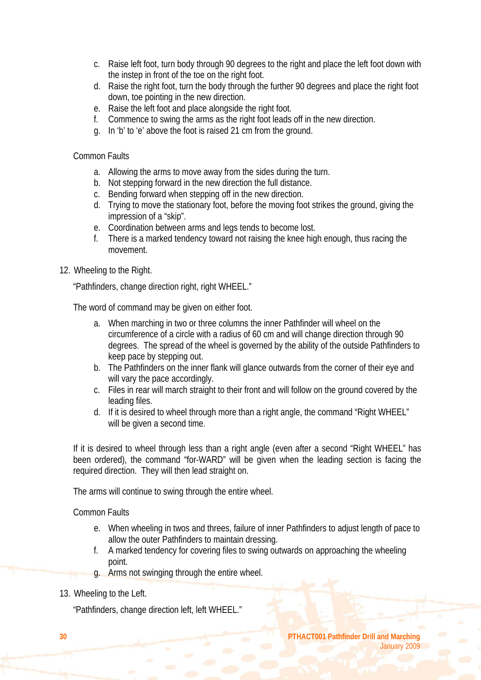- c. Raise left foot, turn body through 90 degrees to the right and place the left foot down with the instep in front of the toe on the right foot.
- d. Raise the right foot, turn the body through the further 90 degrees and place the right foot down, toe pointing in the new direction.
- e. Raise the left foot and place alongside the right foot.
- f. Commence to swing the arms as the right foot leads off in the new direction.
- g. In 'b' to 'e' above the foot is raised 21 cm from the ground.

#### Common Faults

- a. Allowing the arms to move away from the sides during the turn.
- b. Not stepping forward in the new direction the full distance.
- c. Bending forward when stepping off in the new direction.
- d. Trying to move the stationary foot, before the moving foot strikes the ground, giving the impression of a "skip".
- e. Coordination between arms and legs tends to become lost.
- f. There is a marked tendency toward not raising the knee high enough, thus racing the movement.
- 12. Wheeling to the Right.

"Pathfinders, change direction right, right WHEEL."

The word of command may be given on either foot.

- a. When marching in two or three columns the inner Pathfinder will wheel on the circumference of a circle with a radius of 60 cm and will change direction through 90 degrees. The spread of the wheel is governed by the ability of the outside Pathfinders to keep pace by stepping out.
- b. The Pathfinders on the inner flank will glance outwards from the corner of their eye and will vary the pace accordingly.
- c. Files in rear will march straight to their front and will follow on the ground covered by the leading files.
- d. If it is desired to wheel through more than a right angle, the command "Right WHEEL" will be given a second time.

If it is desired to wheel through less than a right angle (even after a second "Right WHEEL" has been ordered), the command "for-WARD" will be given when the leading section is facing the required direction. They will then lead straight on.

The arms will continue to swing through the entire wheel.

Common Faults

- e. When wheeling in twos and threes, failure of inner Pathfinders to adjust length of pace to allow the outer Pathfinders to maintain dressing.
- f. A marked tendency for covering files to swing outwards on approaching the wheeling point.
- g. Arms not swinging through the entire wheel.
- 13. Wheeling to the Left.

"Pathfinders, change direction left, left WHEEL."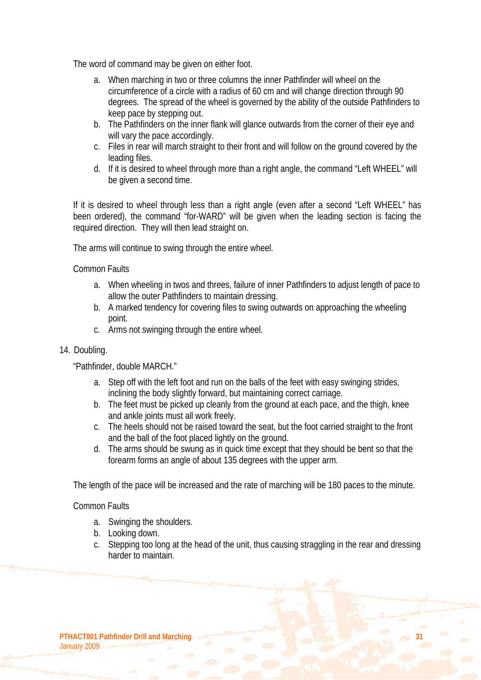The word of command may be given on either foot.

- a. When marching in two or three columns the inner Pathfinder will wheel on the circumference of a circle with a radius of 60 cm and will change direction through 90 degrees. The spread of the wheel is governed by the ability of the outside Pathfinders to keep pace by stepping out.
- b. The Pathfinders on the inner flank will glance outwards from the corner of their eye and will vary the pace accordingly.
- c. Files in rear will march straight to their front and will follow on the ground covered by the leading files.
- d. If it is desired to wheel through more than a right angle, the command "Left WHEEL" will be given a second time.

If it is desired to wheel through less than a right angle (even after a second "Left WHEEL" has been ordered), the command "for-WARD" will be given when the leading section is facing the required direction. They will then lead straight on.

The arms will continue to swing through the entire wheel.

#### Common Faults

- a. When wheeling in twos and threes, failure of inner Pathfinders to adjust length of pace to allow the outer Pathfinders to maintain dressing.
- b. A marked tendency for covering files to swing outwards on approaching the wheeling point.
- c. Arms not swinging through the entire wheel.

#### 14. Doubling.

"Pathfinder, double MARCH."

- a. Step off with the left foot and run on the balls of the feet with easy swinging strides, inclining the body slightly forward, but maintaining correct carriage.
- b. The feet must be picked up cleanly from the ground at each pace, and the thigh, knee and ankle joints must all work freely.
- c. The heels should not be raised toward the seat, but the foot carried straight to the front and the ball of the foot placed lightly on the ground.
- d. The arms should be swung as in quick time except that they should be bent so that the forearm forms an angle of about 135 degrees with the upper arm.

The length of the pace will be increased and the rate of marching will be 180 paces to the minute.

#### Common Faults

- a. Swinging the shoulders.
- b. Looking down.
- c. Stepping too long at the head of the unit, thus causing straggling in the rear and dressing harder to maintain.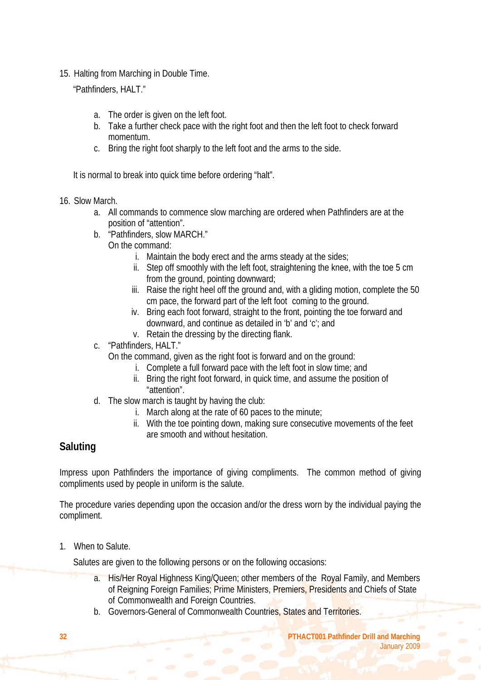15. Halting from Marching in Double Time.

"Pathfinders, HALT."

- a. The order is given on the left foot.
- b. Take a further check pace with the right foot and then the left foot to check forward momentum.
- c. Bring the right foot sharply to the left foot and the arms to the side.

It is normal to break into quick time before ordering "halt".

- 16. Slow March.
	- a. All commands to commence slow marching are ordered when Pathfinders are at the position of "attention".
	- b. "Pathfinders, slow MARCH."
		- On the command:
			- i. Maintain the body erect and the arms steady at the sides;
			- ii. Step off smoothly with the left foot, straightening the knee, with the toe 5 cm from the ground, pointing downward;
			- iii. Raise the right heel off the ground and, with a gliding motion, complete the 50 cm pace, the forward part of the left foot coming to the ground.
			- iv. Bring each foot forward, straight to the front, pointing the toe forward and downward, and continue as detailed in 'b' and 'c'; and
			- v. Retain the dressing by the directing flank.
	- c. "Pathfinders, HALT."

On the command, given as the right foot is forward and on the ground:

- i. Complete a full forward pace with the left foot in slow time; and
- ii. Bring the right foot forward, in quick time, and assume the position of "attention".
- d. The slow march is taught by having the club:
	- i. March along at the rate of 60 paces to the minute;
	- ii. With the toe pointing down, making sure consecutive movements of the feet are smooth and without hesitation.

# **Saluting**

Impress upon Pathfinders the importance of giving compliments. The common method of giving compliments used by people in uniform is the salute.

The procedure varies depending upon the occasion and/or the dress worn by the individual paying the compliment.

1. When to Salute.

Salutes are given to the following persons or on the following occasions:

- a. His/Her Royal Highness King/Queen; other members of the Royal Family, and Members of Reigning Foreign Families; Prime Ministers, Premiers, Presidents and Chiefs of State of Commonwealth and Foreign Countries.
- b. Governors-General of Commonwealth Countries, States and Territories.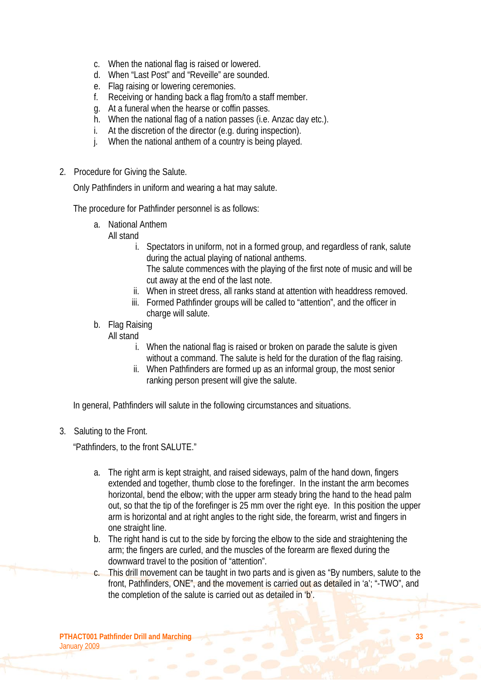- c. When the national flag is raised or lowered.
- d. When "Last Post" and "Reveille" are sounded.
- e. Flag raising or lowering ceremonies.
- f. Receiving or handing back a flag from/to a staff member.
- g. At a funeral when the hearse or coffin passes.
- h. When the national flag of a nation passes (i.e. Anzac day etc.).
- i. At the discretion of the director (e.g. during inspection).
- j. When the national anthem of a country is being played.
- 2. Procedure for Giving the Salute.

Only Pathfinders in uniform and wearing a hat may salute.

The procedure for Pathfinder personnel is as follows:

a. National Anthem

All stand

- i. Spectators in uniform, not in a formed group, and regardless of rank, salute during the actual playing of national anthems.
	- The salute commences with the playing of the first note of music and will be cut away at the end of the last note.
- ii. When in street dress, all ranks stand at attention with headdress removed.
- iii. Formed Pathfinder groups will be called to "attention", and the officer in charge will salute.
- b. Flag Raising

#### All stand

- i. When the national flag is raised or broken on parade the salute is given without a command. The salute is held for the duration of the flag raising.
- ii. When Pathfinders are formed up as an informal group, the most senior ranking person present will give the salute.

In general, Pathfinders will salute in the following circumstances and situations.

3. Saluting to the Front.

"Pathfinders, to the front SALUTE."

- a. The right arm is kept straight, and raised sideways, palm of the hand down, fingers extended and together, thumb close to the forefinger. In the instant the arm becomes horizontal, bend the elbow; with the upper arm steady bring the hand to the head palm out, so that the tip of the forefinger is 25 mm over the right eye. In this position the upper arm is horizontal and at right angles to the right side, the forearm, wrist and fingers in one straight line.
- b. The right hand is cut to the side by forcing the elbow to the side and straightening the arm; the fingers are curled, and the muscles of the forearm are flexed during the downward travel to the position of "attention".
- c. This drill movement can be taught in two parts and is given as "By numbers, salute to the front, Pathfinders, ONE", and the movement is carried out as detailed in 'a'; "-TWO", and the completion of the salute is carried out as detailed in 'b'.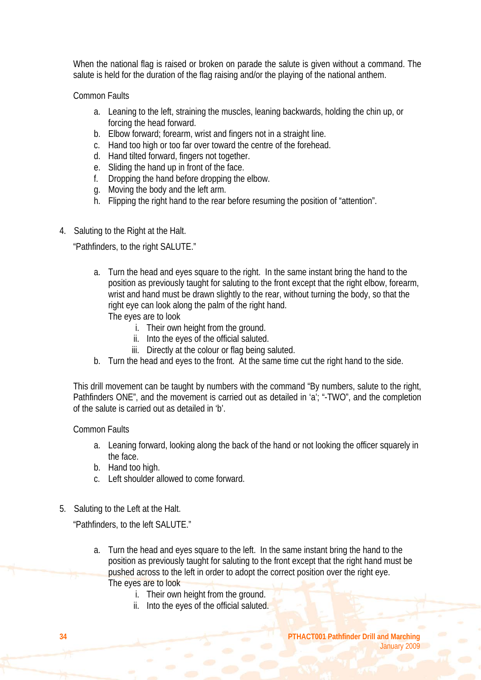When the national flag is raised or broken on parade the salute is given without a command. The salute is held for the duration of the flag raising and/or the playing of the national anthem.

Common Faults

- a. Leaning to the left, straining the muscles, leaning backwards, holding the chin up, or forcing the head forward.
- b. Elbow forward; forearm, wrist and fingers not in a straight line.
- c. Hand too high or too far over toward the centre of the forehead.
- d. Hand tilted forward, fingers not together.
- e. Sliding the hand up in front of the face.
- f. Dropping the hand before dropping the elbow.
- g. Moving the body and the left arm.
- h. Flipping the right hand to the rear before resuming the position of "attention".
- 4. Saluting to the Right at the Halt.

"Pathfinders, to the right SALUTE."

- a. Turn the head and eyes square to the right. In the same instant bring the hand to the position as previously taught for saluting to the front except that the right elbow, forearm, wrist and hand must be drawn slightly to the rear, without turning the body, so that the right eye can look along the palm of the right hand. The eyes are to look
	- i. Their own height from the ground.
	- ii. Into the eyes of the official saluted.
	- iii. Directly at the colour or flag being saluted.
- b. Turn the head and eyes to the front. At the same time cut the right hand to the side.

This drill movement can be taught by numbers with the command "By numbers, salute to the right, Pathfinders ONE", and the movement is carried out as detailed in 'a'; "-TWO", and the completion of the salute is carried out as detailed in 'b'.

Common Faults

- a. Leaning forward, looking along the back of the hand or not looking the officer squarely in the face.
- b. Hand too high.
- c. Left shoulder allowed to come forward.
- 5. Saluting to the Left at the Halt.

"Pathfinders, to the left SALUTE."

- a. Turn the head and eyes square to the left. In the same instant bring the hand to the position as previously taught for saluting to the front except that the right hand must be pushed across to the left in order to adopt the correct position over the right eye. The eyes are to look
	- i. Their own height from the ground.
	- ii. Into the eyes of the official saluted.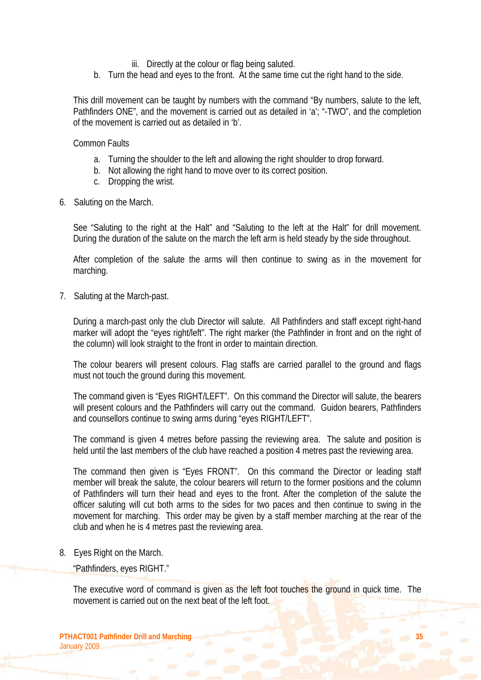- iii. Directly at the colour or flag being saluted.
- b. Turn the head and eyes to the front. At the same time cut the right hand to the side.

This drill movement can be taught by numbers with the command "By numbers, salute to the left, Pathfinders ONE", and the movement is carried out as detailed in 'a'; "-TWO", and the completion of the movement is carried out as detailed in 'b'.

Common Faults

- a. Turning the shoulder to the left and allowing the right shoulder to drop forward.
- b. Not allowing the right hand to move over to its correct position.
- c. Dropping the wrist.
- 6. Saluting on the March.

See "Saluting to the right at the Halt" and "Saluting to the left at the Halt" for drill movement. During the duration of the salute on the march the left arm is held steady by the side throughout.

After completion of the salute the arms will then continue to swing as in the movement for marching.

7. Saluting at the March-past.

During a march-past only the club Director will salute. All Pathfinders and staff except right-hand marker will adopt the "eyes right/left". The right marker (the Pathfinder in front and on the right of the column) will look straight to the front in order to maintain direction.

The colour bearers will present colours. Flag staffs are carried parallel to the ground and flags must not touch the ground during this movement.

The command given is "Eyes RIGHT/LEFT". On this command the Director will salute, the bearers will present colours and the Pathfinders will carry out the command. Guidon bearers, Pathfinders and counsellors continue to swing arms during "eyes RIGHT/LEFT".

The command is given 4 metres before passing the reviewing area. The salute and position is held until the last members of the club have reached a position 4 metres past the reviewing area.

The command then given is "Eyes FRONT". On this command the Director or leading staff member will break the salute, the colour bearers will return to the former positions and the column of Pathfinders will turn their head and eyes to the front. After the completion of the salute the officer saluting will cut both arms to the sides for two paces and then continue to swing in the movement for marching. This order may be given by a staff member marching at the rear of the club and when he is 4 metres past the reviewing area.

#### 8. Eyes Right on the March.

"Pathfinders, eyes RIGHT."

The executive word of command is given as the left foot touches the ground in quick time. The movement is carried out on the next beat of the left foot.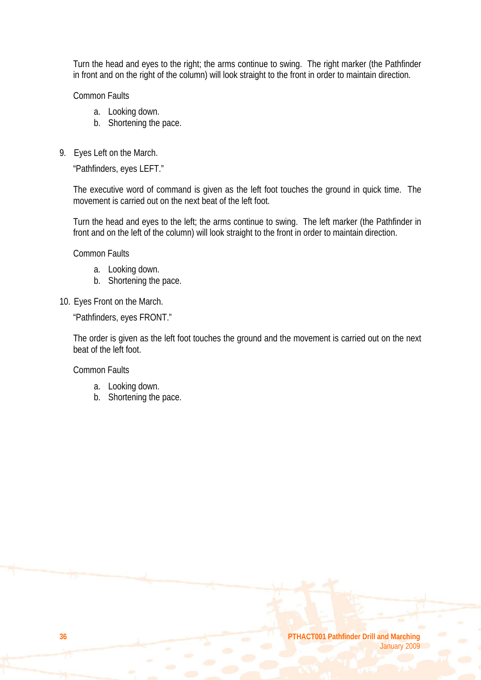Turn the head and eyes to the right; the arms continue to swing. The right marker (the Pathfinder in front and on the right of the column) will look straight to the front in order to maintain direction.

Common Faults

- a. Looking down.
- b. Shortening the pace.
- 9. Eyes Left on the March.

"Pathfinders, eyes LEFT."

The executive word of command is given as the left foot touches the ground in quick time. The movement is carried out on the next beat of the left foot.

Turn the head and eyes to the left; the arms continue to swing. The left marker (the Pathfinder in front and on the left of the column) will look straight to the front in order to maintain direction.

Common Faults

- a. Looking down.
- b. Shortening the pace.
- 10. Eyes Front on the March.

"Pathfinders, eyes FRONT."

The order is given as the left foot touches the ground and the movement is carried out on the next beat of the left foot.

Common Faults

- a. Looking down.
- b. Shortening the pace.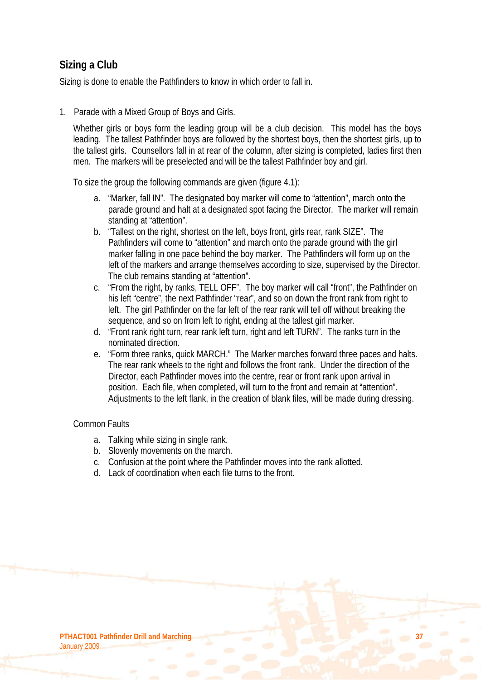# **Sizing a Club**

Sizing is done to enable the Pathfinders to know in which order to fall in.

1. Parade with a Mixed Group of Boys and Girls.

Whether girls or boys form the leading group will be a club decision. This model has the boys leading. The tallest Pathfinder boys are followed by the shortest boys, then the shortest girls, up to the tallest girls. Counsellors fall in at rear of the column, after sizing is completed, ladies first then men. The markers will be preselected and will be the tallest Pathfinder boy and girl.

To size the group the following commands are given (figure 4.1):

- a. "Marker, fall IN". The designated boy marker will come to "attention", march onto the parade ground and halt at a designated spot facing the Director. The marker will remain standing at "attention".
- b. "Tallest on the right, shortest on the left, boys front, girls rear, rank SIZE". The Pathfinders will come to "attention" and march onto the parade ground with the girl marker falling in one pace behind the boy marker. The Pathfinders will form up on the left of the markers and arrange themselves according to size, supervised by the Director. The club remains standing at "attention".
- c. "From the right, by ranks, TELL OFF". The boy marker will call "front", the Pathfinder on his left "centre", the next Pathfinder "rear", and so on down the front rank from right to left. The girl Pathfinder on the far left of the rear rank will tell off without breaking the sequence, and so on from left to right, ending at the tallest girl marker.
- d. "Front rank right turn, rear rank left turn, right and left TURN". The ranks turn in the nominated direction.
- e. "Form three ranks, quick MARCH." The Marker marches forward three paces and halts. The rear rank wheels to the right and follows the front rank. Under the direction of the Director, each Pathfinder moves into the centre, rear or front rank upon arrival in position. Each file, when completed, will turn to the front and remain at "attention". Adjustments to the left flank, in the creation of blank files, will be made during dressing.

#### Common Faults

- a. Talking while sizing in single rank.
- b. Slovenly movements on the march.
- c. Confusion at the point where the Pathfinder moves into the rank allotted.
- d. Lack of coordination when each file turns to the front.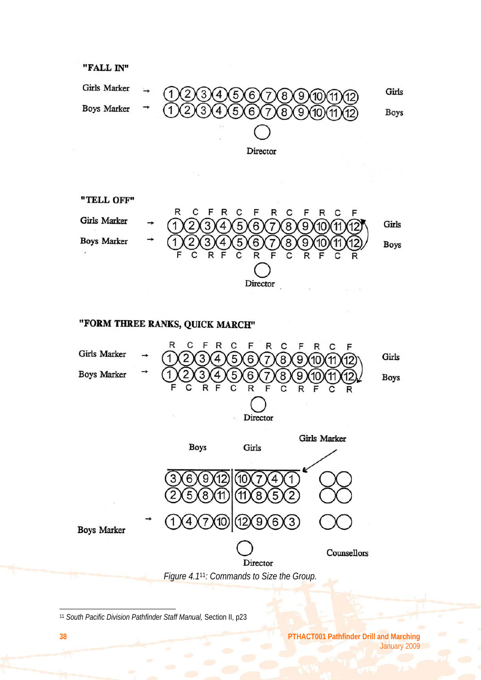

"TELL OFF" R C F C C R F R F R C Girls Marker Girls 1 8 9 5 6 **Boys Marker Boys** Director

# "FORM THREE RANKS, QUICK MARCH"



<sup>11</sup> *South Pacific Division Pathfinder Staff Manual,* Section II, p23

**38 PTHACT001 Pathfinder Drill and Marching** January 2009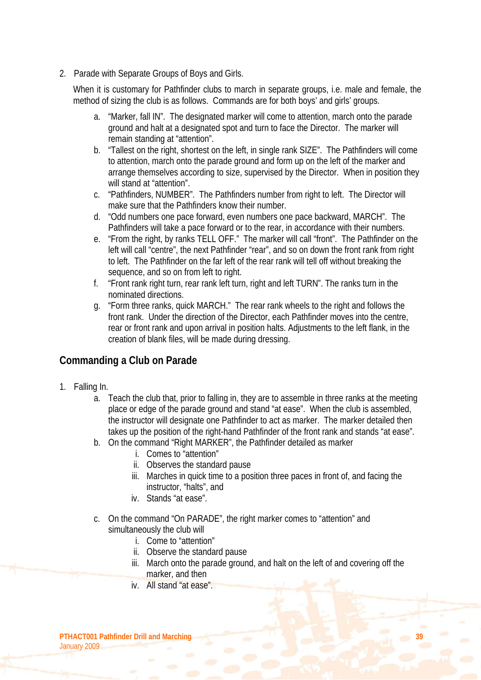2. Parade with Separate Groups of Boys and Girls.

When it is customary for Pathfinder clubs to march in separate groups, i.e. male and female, the method of sizing the club is as follows. Commands are for both boys' and girls' groups.

- a. "Marker, fall IN". The designated marker will come to attention, march onto the parade ground and halt at a designated spot and turn to face the Director. The marker will remain standing at "attention".
- b. "Tallest on the right, shortest on the left, in single rank SIZE". The Pathfinders will come to attention, march onto the parade ground and form up on the left of the marker and arrange themselves according to size, supervised by the Director. When in position they will stand at "attention".
- c. "Pathfinders, NUMBER". The Pathfinders number from right to left. The Director will make sure that the Pathfinders know their number.
- d. "Odd numbers one pace forward, even numbers one pace backward, MARCH". The Pathfinders will take a pace forward or to the rear, in accordance with their numbers.
- e. "From the right, by ranks TELL OFF." The marker will call "front". The Pathfinder on the left will call "centre", the next Pathfinder "rear", and so on down the front rank from right to left. The Pathfinder on the far left of the rear rank will tell off without breaking the sequence, and so on from left to right.
- f. "Front rank right turn, rear rank left turn, right and left TURN". The ranks turn in the nominated directions.
- g. "Form three ranks, quick MARCH." The rear rank wheels to the right and follows the front rank. Under the direction of the Director, each Pathfinder moves into the centre, rear or front rank and upon arrival in position halts. Adjustments to the left flank, in the creation of blank files, will be made during dressing.

### **Commanding a Club on Parade**

- 1. Falling In.
	- a. Teach the club that, prior to falling in, they are to assemble in three ranks at the meeting place or edge of the parade ground and stand "at ease". When the club is assembled, the instructor will designate one Pathfinder to act as marker. The marker detailed then takes up the position of the right-hand Pathfinder of the front rank and stands "at ease".
	- b. On the command "Right MARKER", the Pathfinder detailed as marker
		- i. Comes to "attention"
		- ii. Observes the standard pause
		- iii. Marches in quick time to a position three paces in front of, and facing the instructor, "halts", and
		- iv. Stands "at ease".
	- c. On the command "On PARADE", the right marker comes to "attention" and simultaneously the club will
		- i. Come to "attention"
		- ii. Observe the standard pause
		- iii. March onto the parade ground, and halt on the left of and covering off the marker, and then
		- iv. All stand "at ease".

**PTHACT001 Pathfinder Drill and Marching 39** January 2009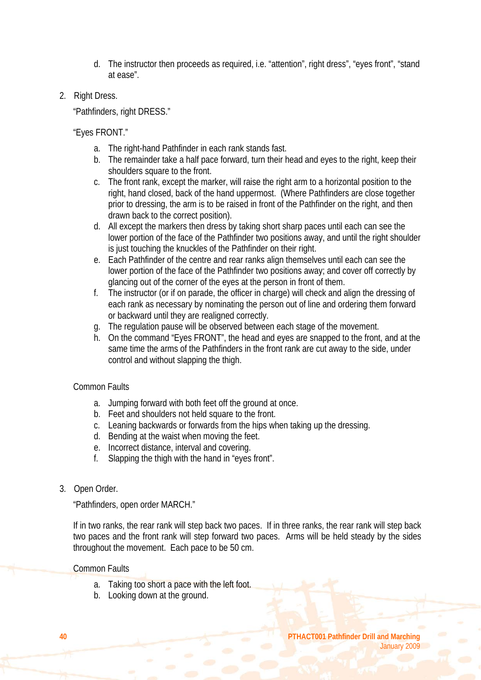- d. The instructor then proceeds as required, i.e. "attention", right dress", "eyes front", "stand at ease".
- 2. Right Dress.

"Pathfinders, right DRESS."

"Eyes FRONT."

- a. The right-hand Pathfinder in each rank stands fast.
- b. The remainder take a half pace forward, turn their head and eyes to the right, keep their shoulders square to the front.
- c. The front rank, except the marker, will raise the right arm to a horizontal position to the right, hand closed, back of the hand uppermost. (Where Pathfinders are close together prior to dressing, the arm is to be raised in front of the Pathfinder on the right, and then drawn back to the correct position).
- d. All except the markers then dress by taking short sharp paces until each can see the lower portion of the face of the Pathfinder two positions away, and until the right shoulder is just touching the knuckles of the Pathfinder on their right.
- e. Each Pathfinder of the centre and rear ranks align themselves until each can see the lower portion of the face of the Pathfinder two positions away; and cover off correctly by glancing out of the corner of the eyes at the person in front of them.
- f. The instructor (or if on parade, the officer in charge) will check and align the dressing of each rank as necessary by nominating the person out of line and ordering them forward or backward until they are realigned correctly.
- g. The regulation pause will be observed between each stage of the movement.
- h. On the command "Eyes FRONT", the head and eyes are snapped to the front, and at the same time the arms of the Pathfinders in the front rank are cut away to the side, under control and without slapping the thigh.

#### Common Faults

- a. Jumping forward with both feet off the ground at once.
- b. Feet and shoulders not held square to the front.
- c. Leaning backwards or forwards from the hips when taking up the dressing.
- d. Bending at the waist when moving the feet.
- e. Incorrect distance, interval and covering.
- f. Slapping the thigh with the hand in "eyes front".
- 3. Open Order.

"Pathfinders, open order MARCH."

If in two ranks, the rear rank will step back two paces. If in three ranks, the rear rank will step back two paces and the front rank will step forward two paces. Arms will be held steady by the sides throughout the movement. Each pace to be 50 cm.

#### Common Faults

- a. Taking too short a pace with the left foot.
- b. Looking down at the ground.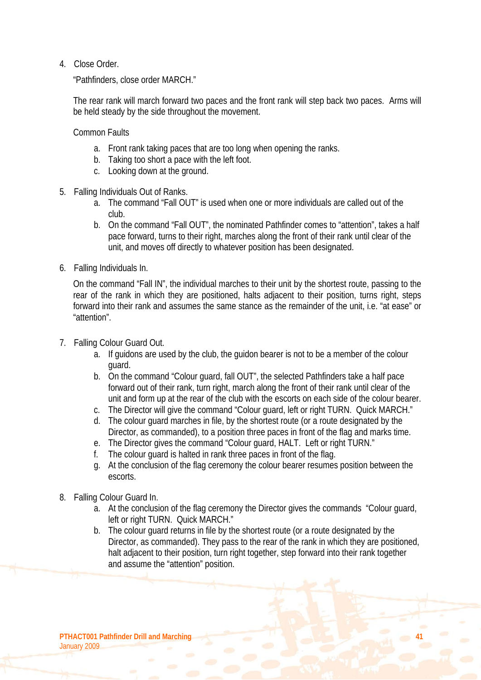4. Close Order.

"Pathfinders, close order MARCH."

The rear rank will march forward two paces and the front rank will step back two paces. Arms will be held steady by the side throughout the movement.

Common Faults

- a. Front rank taking paces that are too long when opening the ranks.
- b. Taking too short a pace with the left foot.
- c. Looking down at the ground.
- 5. Falling Individuals Out of Ranks.
	- a. The command "Fall OUT" is used when one or more individuals are called out of the club.
	- b. On the command "Fall OUT", the nominated Pathfinder comes to "attention", takes a half pace forward, turns to their right, marches along the front of their rank until clear of the unit, and moves off directly to whatever position has been designated.
- 6. Falling Individuals In.

On the command "Fall IN", the individual marches to their unit by the shortest route, passing to the rear of the rank in which they are positioned, halts adjacent to their position, turns right, steps forward into their rank and assumes the same stance as the remainder of the unit, i.e. "at ease" or "attention".

- 7. Falling Colour Guard Out.
	- a. If guidons are used by the club, the guidon bearer is not to be a member of the colour guard.
	- b. On the command "Colour guard, fall OUT", the selected Pathfinders take a half pace forward out of their rank, turn right, march along the front of their rank until clear of the unit and form up at the rear of the club with the escorts on each side of the colour bearer.
	- c. The Director will give the command "Colour guard, left or right TURN. Quick MARCH."
	- d. The colour guard marches in file, by the shortest route (or a route designated by the Director, as commanded), to a position three paces in front of the flag and marks time.
	- e. The Director gives the command "Colour guard, HALT. Left or right TURN."
	- f. The colour guard is halted in rank three paces in front of the flag.
	- g. At the conclusion of the flag ceremony the colour bearer resumes position between the escorts.
- 8. Falling Colour Guard In.
	- a. At the conclusion of the flag ceremony the Director gives the commands "Colour guard, left or right TURN. Quick MARCH."
	- b. The colour guard returns in file by the shortest route (or a route designated by the Director, as commanded). They pass to the rear of the rank in which they are positioned, halt adjacent to their position, turn right together, step forward into their rank together and assume the "attention" position.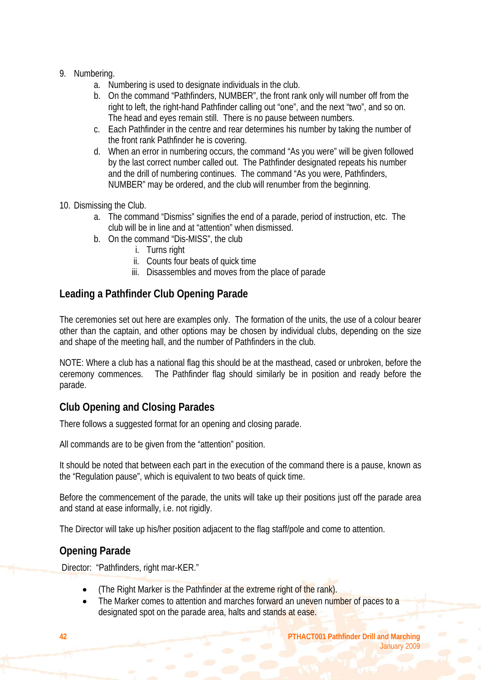- 9. Numbering.
	- a. Numbering is used to designate individuals in the club.
	- b. On the command "Pathfinders, NUMBER", the front rank only will number off from the right to left, the right-hand Pathfinder calling out "one", and the next "two", and so on. The head and eyes remain still. There is no pause between numbers.
	- c. Each Pathfinder in the centre and rear determines his number by taking the number of the front rank Pathfinder he is covering.
	- d. When an error in numbering occurs, the command "As you were" will be given followed by the last correct number called out. The Pathfinder designated repeats his number and the drill of numbering continues. The command "As you were, Pathfinders, NUMBER" may be ordered, and the club will renumber from the beginning.
- 10. Dismissing the Club.
	- a. The command "Dismiss" signifies the end of a parade, period of instruction, etc. The club will be in line and at "attention" when dismissed.
	- b. On the command "Dis-MISS", the club
		- i. Turns right
		- ii. Counts four beats of quick time
		- iii. Disassembles and moves from the place of parade

# **Leading a Pathfinder Club Opening Parade**

The ceremonies set out here are examples only. The formation of the units, the use of a colour bearer other than the captain, and other options may be chosen by individual clubs, depending on the size and shape of the meeting hall, and the number of Pathfinders in the club.

NOTE: Where a club has a national flag this should be at the masthead, cased or unbroken, before the ceremony commences. The Pathfinder flag should similarly be in position and ready before the parade.

# **Club Opening and Closing Parades**

There follows a suggested format for an opening and closing parade.

All commands are to be given from the "attention" position.

It should be noted that between each part in the execution of the command there is a pause, known as the "Regulation pause", which is equivalent to two beats of quick time.

Before the commencement of the parade, the units will take up their positions just off the parade area and stand at ease informally, i.e. not rigidly.

The Director will take up his/her position adjacent to the flag staff/pole and come to attention.

### **Opening Parade**

Director: "Pathfinders, right mar-KER."

- (The Right Marker is the Pathfinder at the extreme right of the rank).
- The Marker comes to attention and marches forward an uneven number of paces to a designated spot on the parade area, halts and stands at ease.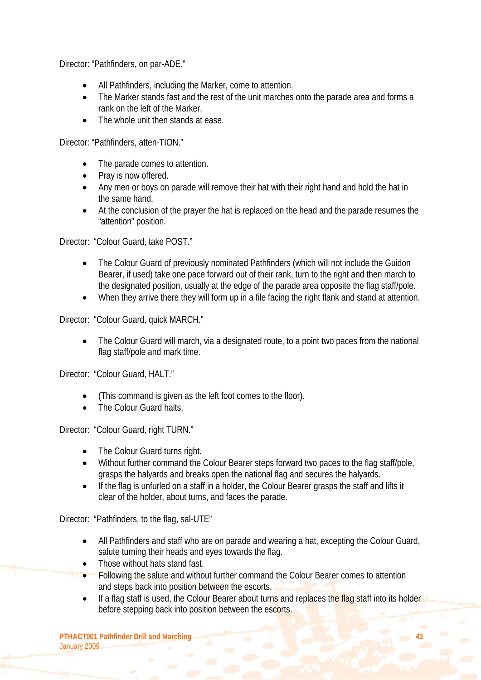Director: "Pathfinders, on par-ADE."

- All Pathfinders, including the Marker, come to attention.
- The Marker stands fast and the rest of the unit marches onto the parade area and forms a rank on the left of the Marker.
- The whole unit then stands at ease.

Director: "Pathfinders, atten-TION."

- The parade comes to attention.
- Pray is now offered.
- Any men or boys on parade will remove their hat with their right hand and hold the hat in the same hand.
- At the conclusion of the prayer the hat is replaced on the head and the parade resumes the "attention" position.

Director: "Colour Guard, take POST."

- The Colour Guard of previously nominated Pathfinders (which will not include the Guidon Bearer, if used) take one pace forward out of their rank, turn to the right and then march to the designated position, usually at the edge of the parade area opposite the flag staff/pole.
- When they arrive there they will form up in a file facing the right flank and stand at attention.

Director: "Colour Guard, quick MARCH."

• The Colour Guard will march, via a designated route, to a point two paces from the national flag staff/pole and mark time.

Director: "Colour Guard, HALT."

- (This command is given as the left foot comes to the floor).
- The Colour Guard halts.

Director: "Colour Guard, right TURN."

- The Colour Guard turns right.
- Without further command the Colour Bearer steps forward two paces to the flag staff/pole, grasps the halyards and breaks open the national flag and secures the halyards.
- If the flag is unfurled on a staff in a holder, the Colour Bearer grasps the staff and lifts it clear of the holder, about turns, and faces the parade.

Director: "Pathfinders, to the flag, sal-UTE"

- All Pathfinders and staff who are on parade and wearing a hat, excepting the Colour Guard, salute turning their heads and eyes towards the flag.
- Those without hats stand fast.
- Following the salute and without further command the Colour Bearer comes to attention and steps back into position between the escorts.
- If a flag staff is used, the Colour Bearer about turns and replaces the flag staff into its holder before stepping back into position between the escorts.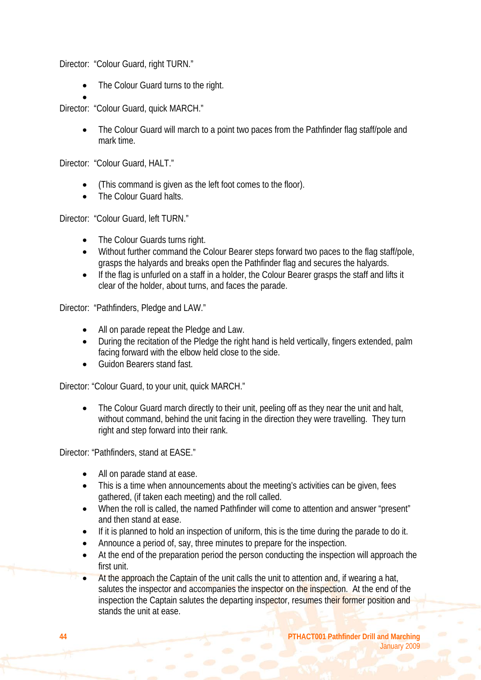Director: "Colour Guard, right TURN."

• The Colour Guard turns to the right.

• Director: "Colour Guard, quick MARCH."

> • The Colour Guard will march to a point two paces from the Pathfinder flag staff/pole and mark time.

Director: "Colour Guard, HALT."

- (This command is given as the left foot comes to the floor).
- The Colour Guard halts.

Director: "Colour Guard, left TURN."

- The Colour Guards turns right.
- Without further command the Colour Bearer steps forward two paces to the flag staff/pole, grasps the halyards and breaks open the Pathfinder flag and secures the halyards.
- If the flag is unfurled on a staff in a holder, the Colour Bearer grasps the staff and lifts it clear of the holder, about turns, and faces the parade.

Director: "Pathfinders, Pledge and LAW."

- All on parade repeat the Pledge and Law.
- During the recitation of the Pledge the right hand is held vertically, fingers extended, palm facing forward with the elbow held close to the side.
- Guidon Bearers stand fast.

Director: "Colour Guard, to your unit, quick MARCH."

• The Colour Guard march directly to their unit, peeling off as they near the unit and halt, without command, behind the unit facing in the direction they were travelling. They turn right and step forward into their rank.

Director: "Pathfinders, stand at EASE."

- All on parade stand at ease.
- This is a time when announcements about the meeting's activities can be given, fees gathered, (if taken each meeting) and the roll called.
- When the roll is called, the named Pathfinder will come to attention and answer "present" and then stand at ease.
- If it is planned to hold an inspection of uniform, this is the time during the parade to do it.
- Announce a period of, say, three minutes to prepare for the inspection.
- At the end of the preparation period the person conducting the inspection will approach the first unit.
- At the approach the Captain of the unit calls the unit to attention and, if wearing a hat, salutes the inspector and accompanies the inspector on the inspection. At the end of the inspection the Captain salutes the departing inspector, resumes their former position and stands the unit at ease.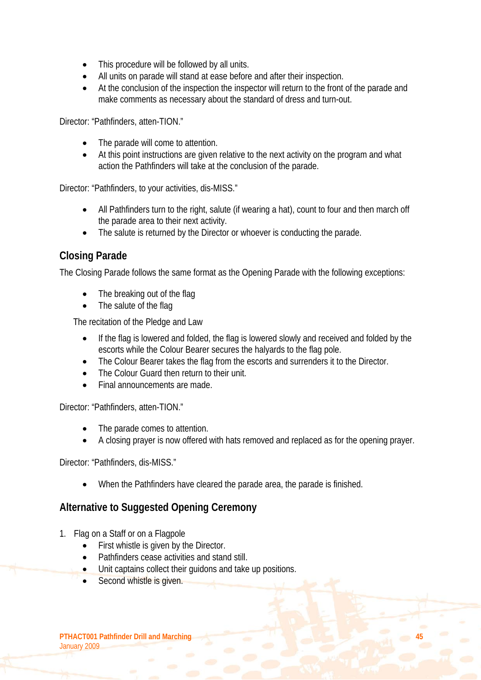- This procedure will be followed by all units.
- All units on parade will stand at ease before and after their inspection.
- At the conclusion of the inspection the inspector will return to the front of the parade and make comments as necessary about the standard of dress and turn-out.

Director: "Pathfinders, atten-TION."

- The parade will come to attention.
- At this point instructions are given relative to the next activity on the program and what action the Pathfinders will take at the conclusion of the parade.

Director: "Pathfinders, to your activities, dis-MISS."

- All Pathfinders turn to the right, salute (if wearing a hat), count to four and then march off the parade area to their next activity.
- The salute is returned by the Director or whoever is conducting the parade.

### **Closing Parade**

The Closing Parade follows the same format as the Opening Parade with the following exceptions:

- The breaking out of the flag
- The salute of the flag

The recitation of the Pledge and Law

- If the flag is lowered and folded, the flag is lowered slowly and received and folded by the escorts while the Colour Bearer secures the halyards to the flag pole.
- The Colour Bearer takes the flag from the escorts and surrenders it to the Director.
- The Colour Guard then return to their unit.
- Final announcements are made.

Director: "Pathfinders, atten-TION."

- The parade comes to attention.
- A closing prayer is now offered with hats removed and replaced as for the opening prayer.

Director: "Pathfinders, dis-MISS."

• When the Pathfinders have cleared the parade area, the parade is finished.

### **Alternative to Suggested Opening Ceremony**

- 1. Flag on a Staff or on a Flagpole
	- First whistle is given by the Director.
	- Pathfinders cease activities and stand still.
	- Unit captains collect their quidons and take up positions.
	- Second whistle is given.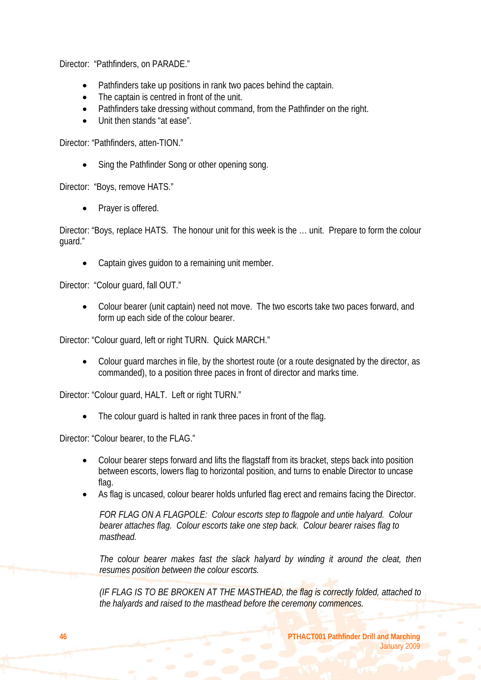Director: "Pathfinders, on PARADE."

- Pathfinders take up positions in rank two paces behind the captain.
- The captain is centred in front of the unit.
- Pathfinders take dressing without command, from the Pathfinder on the right.
- Unit then stands "at ease".

Director: "Pathfinders, atten-TION."

• Sing the Pathfinder Song or other opening song.

Director: "Boys, remove HATS."

Prayer is offered.

Director: "Boys, replace HATS. The honour unit for this week is the … unit. Prepare to form the colour guard."

• Captain gives guidon to a remaining unit member.

Director: "Colour guard, fall OUT."

• Colour bearer (unit captain) need not move. The two escorts take two paces forward, and form up each side of the colour bearer.

Director: "Colour guard, left or right TURN. Quick MARCH."

• Colour guard marches in file, by the shortest route (or a route designated by the director, as commanded), to a position three paces in front of director and marks time.

Director: "Colour guard, HALT. Left or right TURN."

The colour guard is halted in rank three paces in front of the flag.

Director: "Colour bearer, to the FLAG."

- Colour bearer steps forward and lifts the flagstaff from its bracket, steps back into position between escorts, lowers flag to horizontal position, and turns to enable Director to uncase flag.
- As flag is uncased, colour bearer holds unfurled flag erect and remains facing the Director.

*FOR FLAG ON A FLAGPOLE: Colour escorts step to flagpole and untie halyard. Colour bearer attaches flag. Colour escorts take one step back. Colour bearer raises flag to masthead.* 

The colour bearer makes fast the slack halyard by winding it around the cleat, then *resumes position between the colour escorts.* 

*(IF FLAG IS TO BE BROKEN AT THE MASTHEAD, the flag is correctly folded, attached to the halyards and raised to the masthead before the ceremony commences.*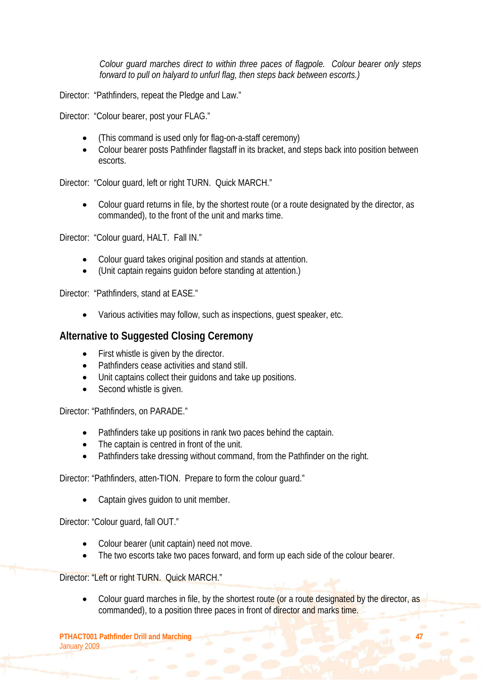*Colour guard marches direct to within three paces of flagpole. Colour bearer only steps forward to pull on halyard to unfurl flag, then steps back between escorts.)* 

Director: "Pathfinders, repeat the Pledge and Law."

Director: "Colour bearer, post your FLAG."

- (This command is used only for flag-on-a-staff ceremony)
- Colour bearer posts Pathfinder flagstaff in its bracket, and steps back into position between escorts.

Director: "Colour guard, left or right TURN. Quick MARCH."

• Colour guard returns in file, by the shortest route (or a route designated by the director, as commanded), to the front of the unit and marks time.

Director: "Colour guard, HALT. Fall IN."

- Colour guard takes original position and stands at attention.
- (Unit captain regains guidon before standing at attention.)

Director: "Pathfinders, stand at EASE."

• Various activities may follow, such as inspections, guest speaker, etc.

#### **Alternative to Suggested Closing Ceremony**

- First whistle is given by the director.
- Pathfinders cease activities and stand still.
- Unit captains collect their guidons and take up positions.
- Second whistle is given.

Director: "Pathfinders, on PARADE."

- Pathfinders take up positions in rank two paces behind the captain.
- The captain is centred in front of the unit.
- Pathfinders take dressing without command, from the Pathfinder on the right.

Director: "Pathfinders, atten-TION. Prepare to form the colour guard."

• Captain gives guidon to unit member.

Director: "Colour guard, fall OUT."

- Colour bearer (unit captain) need not move.
- The two escorts take two paces forward, and form up each side of the colour bearer.

Director: "Left or right TURN. Quick MARCH."

Colour guard marches in file, by the shortest route (or a route designated by the director, as commanded), to a position three paces in front of director and marks time.

**PTHACT001 Pathfinder Drill and Marching 47 47** January 2009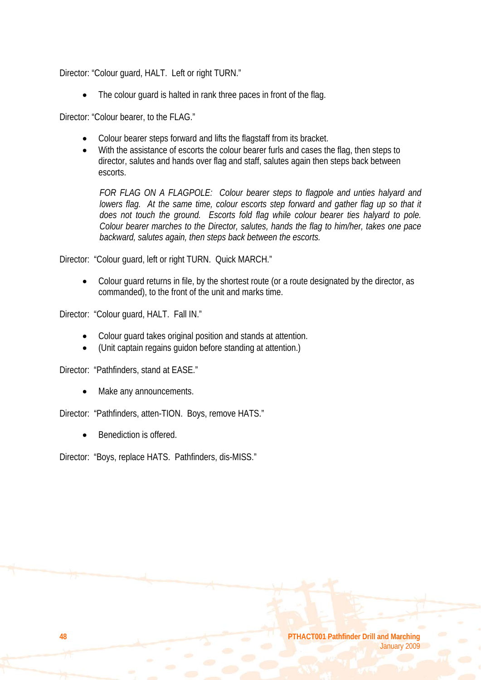Director: "Colour guard, HALT. Left or right TURN."

The colour guard is halted in rank three paces in front of the flag.

Director: "Colour bearer, to the FLAG."

- Colour bearer steps forward and lifts the flagstaff from its bracket.
- With the assistance of escorts the colour bearer furls and cases the flag, then steps to director, salutes and hands over flag and staff, salutes again then steps back between escorts.

*FOR FLAG ON A FLAGPOLE: Colour bearer steps to flagpole and unties halyard and lowers flag. At the same time, colour escorts step forward and gather flag up so that it does not touch the ground. Escorts fold flag while colour bearer ties halyard to pole. Colour bearer marches to the Director, salutes, hands the flag to him/her, takes one pace backward, salutes again, then steps back between the escorts.* 

Director: "Colour guard, left or right TURN. Quick MARCH."

• Colour guard returns in file, by the shortest route (or a route designated by the director, as commanded), to the front of the unit and marks time.

Director: "Colour guard, HALT. Fall IN."

- Colour guard takes original position and stands at attention.
- (Unit captain regains guidon before standing at attention.)

Director: "Pathfinders, stand at EASE."

Make any announcements.

Director: "Pathfinders, atten-TION. Boys, remove HATS."

Benediction is offered.

Director: "Boys, replace HATS. Pathfinders, dis-MISS."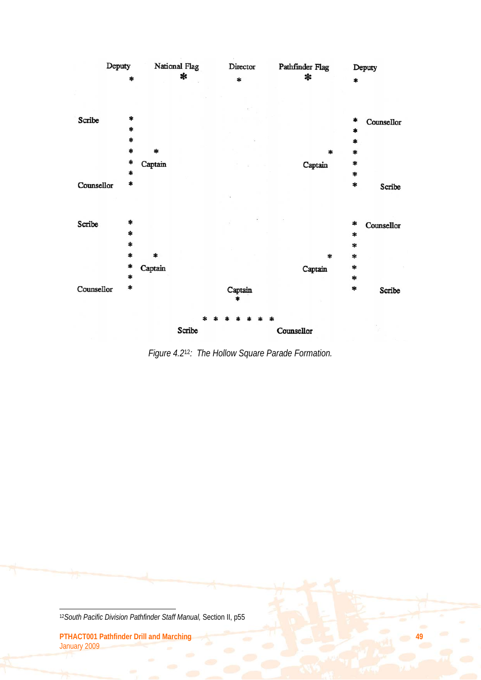

*Figure 4.2*12*: The Hollow Square Parade Formation.* 

 $\overline{a}$ 12*South Pacific Division Pathfinder Staff Manual,* Section II, p55

**PTHACT001 Pathfinder Drill and Marching 49** January 2009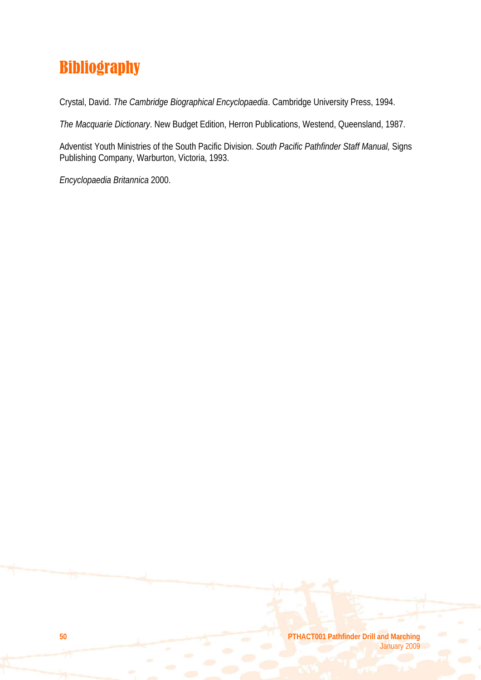# Bibliography

Crystal, David. *The Cambridge Biographical Encyclopaedia*. Cambridge University Press, 1994.

*The Macquarie Dictionary*. New Budget Edition, Herron Publications, Westend, Queensland, 1987.

Adventist Youth Ministries of the South Pacific Division. *South Pacific Pathfinder Staff Manual,* Signs Publishing Company, Warburton, Victoria, 1993.

*Encyclopaedia Britannica* 2000.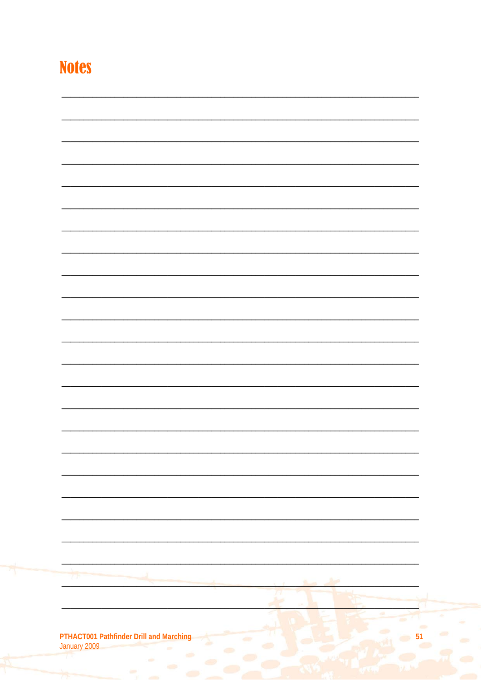# **Notes**

| 77                                                           |    | <b>Lot</b> |                 |
|--------------------------------------------------------------|----|------------|-----------------|
|                                                              |    | ٠          |                 |
|                                                              | 9f |            |                 |
|                                                              |    |            | ä,<br><b>CO</b> |
|                                                              |    |            | <b>CO</b>       |
| PTHACT001 Pathfinder Drill and Marching<br>January 2009<br>Σ | œ  |            |                 |